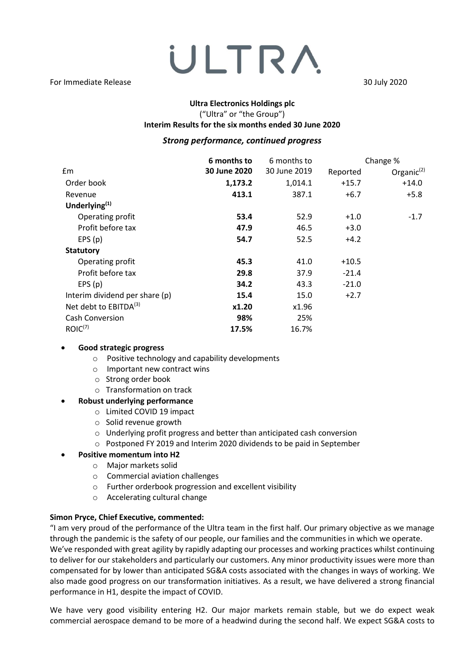# ULTRA For Immediate Release 30 July 2020

### **Ultra Electronics Holdings plc** ("Ultra" or "the Group")

### **Interim Results for the six months ended 30 June 2020**

### *Strong performance, continued progress*

|                                | 6 months to  | 6 months to  |          | Change %      |
|--------------------------------|--------------|--------------|----------|---------------|
| £m                             | 30 June 2020 | 30 June 2019 | Reported | Organic $(2)$ |
| Order book                     | 1,173.2      | 1,014.1      | $+15.7$  | $+14.0$       |
| Revenue                        | 413.1        | 387.1        | $+6.7$   | $+5.8$        |
| Underlying $(1)$               |              |              |          |               |
| Operating profit               | 53.4         | 52.9         | $+1.0$   | $-1.7$        |
| Profit before tax              | 47.9         | 46.5         | $+3.0$   |               |
| EPS(p)                         | 54.7         | 52.5         | $+4.2$   |               |
| <b>Statutory</b>               |              |              |          |               |
| Operating profit               | 45.3         | 41.0         | $+10.5$  |               |
| Profit before tax              | 29.8         | 37.9         | $-21.4$  |               |
| EPS(p)                         | 34.2         | 43.3         | $-21.0$  |               |
| Interim dividend per share (p) | 15.4         | 15.0         | $+2.7$   |               |
| Net debt to $EBITDA(3)$        | x1.20        | x1.96        |          |               |
| <b>Cash Conversion</b>         | 98%          | 25%          |          |               |
| ROIC <sup>(7)</sup>            | 17.5%        | 16.7%        |          |               |

### • **Good strategic progress**

- o Positive technology and capability developments
- o Important new contract wins
- o Strong order book
- o Transformation on track

### • **Robust underlying performance**

- o Limited COVID 19 impact
- o Solid revenue growth
- o Underlying profit progress and better than anticipated cash conversion
- o Postponed FY 2019 and Interim 2020 dividends to be paid in September

### • **Positive momentum into H2**

- o Major markets solid
- o Commercial aviation challenges
- o Further orderbook progression and excellent visibility
- o Accelerating cultural change

### **Simon Pryce, Chief Executive, commented:**

"I am very proud of the performance of the Ultra team in the first half. Our primary objective as we manage through the pandemic is the safety of our people, our families and the communities in which we operate. We've responded with great agility by rapidly adapting our processes and working practices whilst continuing to deliver for our stakeholders and particularly our customers. Any minor productivity issues were more than compensated for by lower than anticipated SG&A costs associated with the changes in ways of working. We also made good progress on our transformation initiatives. As a result, we have delivered a strong financial performance in H1, despite the impact of COVID.

We have very good visibility entering H2. Our major markets remain stable, but we do expect weak commercial aerospace demand to be more of a headwind during the second half. We expect SG&A costs to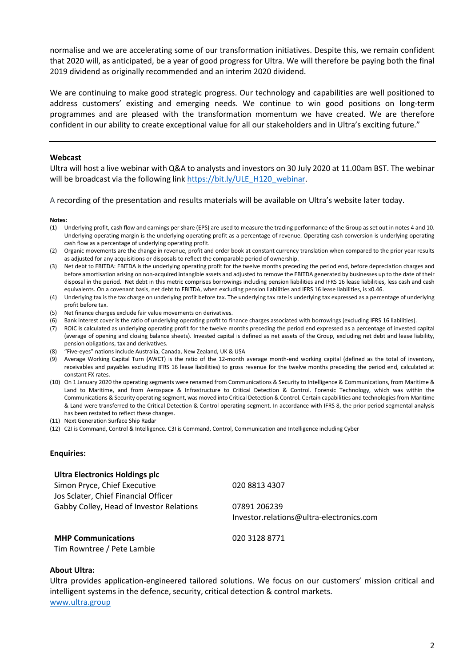normalise and we are accelerating some of our transformation initiatives. Despite this, we remain confident that 2020 will, as anticipated, be a year of good progress for Ultra. We will therefore be paying both the final 2019 dividend as originally recommended and an interim 2020 dividend.

We are continuing to make good strategic progress. Our technology and capabilities are well positioned to address customers' existing and emerging needs. We continue to win good positions on long-term programmes and are pleased with the transformation momentum we have created. We are therefore confident in our ability to create exceptional value for all our stakeholders and in Ultra's exciting future."

#### **Webcast**

Ultra will host a live webinar with Q&A to analysts and investors on 30 July 2020 at 11.00am BST. The webinar will be broadcast via the following link [https://bit.ly/ULE\\_H120\\_webinar.](https://bit.ly/ULE_H120_webinar)

A recording of the presentation and results materials will be available on Ultra's website later today.

#### **Notes:**

- (1) Underlying profit, cash flow and earnings per share (EPS) are used to measure the trading performance of the Group as set out in notes 4 and 10. Underlying operating margin is the underlying operating profit as a percentage of revenue. Operating cash conversion is underlying operating cash flow as a percentage of underlying operating profit.
- (2) Organic movements are the change in revenue, profit and order book at constant currency translation when compared to the prior year results as adjusted for any acquisitions or disposals to reflect the comparable period of ownership.
- (3) Net debt to EBITDA: EBITDA is the underlying operating profit for the twelve months preceding the period end, before depreciation charges and before amortisation arising on non-acquired intangible assets and adjusted to remove the EBITDA generated by businesses up to the date of their disposal in the period. Net debt in this metric comprises borrowings including pension liabilities and IFRS 16 lease liabilities, less cash and cash equivalents. On a covenant basis, net debt to EBITDA, when excluding pension liabilities and IFRS 16 lease liabilities, is x0.46.
- (4) Underlying tax is the tax charge on underlying profit before tax. The underlying tax rate is underlying tax expressed as a percentage of underlying profit before tax.
- (5) Net finance charges exclude fair value movements on derivatives.
- (6) Bank interest cover is the ratio of underlying operating profit to finance charges associated with borrowings (excluding IFRS 16 liabilities).
- (7) ROIC is calculated as underlying operating profit for the twelve months preceding the period end expressed as a percentage of invested capital (average of opening and closing balance sheets). Invested capital is defined as net assets of the Group, excluding net debt and lease liability, pension obligations, tax and derivatives.
- (8) "Five-eyes" nations include Australia, Canada, New Zealand, UK & USA
- (9) Average Working Capital Turn (AWCT) is the ratio of the 12-month average month-end working capital (defined as the total of inventory, receivables and payables excluding IFRS 16 lease liabilities) to gross revenue for the twelve months preceding the period end, calculated at constant FX rates.
- (10) On 1 January 2020 the operating segments were renamed from Communications & Security to Intelligence & Communications, from Maritime & Land to Maritime, and from Aerospace & Infrastructure to Critical Detection & Control. Forensic Technology, which was within the Communications & Security operating segment, was moved into Critical Detection & Control. Certain capabilities and technologies from Maritime & Land were transferred to the Critical Detection & Control operating segment. In accordance with IFRS 8, the prior period segmental analysis has been restated to reflect these changes.
- (11) Next Generation Surface Ship Radar
- (12) C2I is Command, Control & Intelligence. C3I is Command, Control, Communication and Intelligence including Cyber

#### **Enquiries:**

| <b>Ultra Electronics Holdings plc</b>    |                                          |
|------------------------------------------|------------------------------------------|
| Simon Pryce, Chief Executive             | 020 8813 4307                            |
| Jos Sclater, Chief Financial Officer     |                                          |
| Gabby Colley, Head of Investor Relations | 07891 206239                             |
|                                          | Investor.relations@ultra-electronics.com |
|                                          |                                          |
|                                          |                                          |

**MHP Communications** 020 3128 8771 Tim Rowntree / Pete Lambie

### **About Ultra:**

Ultra provides application-engineered tailored solutions. We focus on our customers' mission critical and intelligent systems in the defence, security, critical detection & control markets.

[www.ultra.group](http://www.ultra.group/)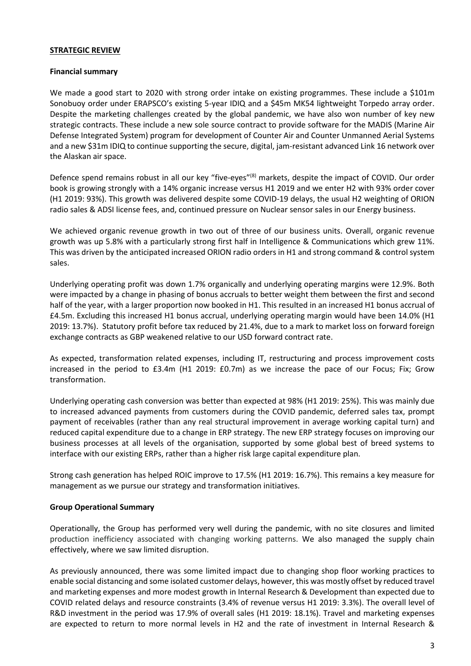### **STRATEGIC REVIEW**

### **Financial summary**

We made a good start to 2020 with strong order intake on existing programmes. These include a \$101m Sonobuoy order under ERAPSCO's existing 5-year IDIQ and a \$45m MK54 lightweight Torpedo array order. Despite the marketing challenges created by the global pandemic, we have also won number of key new strategic contracts. These include a new sole source contract to provide software for the MADIS (Marine Air Defense Integrated System) program for development of Counter Air and Counter Unmanned Aerial Systems and a new \$31m IDIQ to continue supporting the secure, digital, jam-resistant advanced Link 16 network over the Alaskan air space.

Defence spend remains robust in all our key "five-eyes"<sup>(8)</sup> markets, despite the impact of COVID. Our order book is growing strongly with a 14% organic increase versus H1 2019 and we enter H2 with 93% order cover (H1 2019: 93%). This growth was delivered despite some COVID-19 delays, the usual H2 weighting of ORION radio sales & ADSI license fees, and, continued pressure on Nuclear sensor sales in our Energy business.

We achieved organic revenue growth in two out of three of our business units. Overall, organic revenue growth was up 5.8% with a particularly strong first half in Intelligence & Communications which grew 11%. This was driven by the anticipated increased ORION radio orders in H1 and strong command & control system sales.

Underlying operating profit was down 1.7% organically and underlying operating margins were 12.9%. Both were impacted by a change in phasing of bonus accruals to better weight them between the first and second half of the year, with a larger proportion now booked in H1. This resulted in an increased H1 bonus accrual of £4.5m. Excluding this increased H1 bonus accrual, underlying operating margin would have been 14.0% (H1 2019: 13.7%). Statutory profit before tax reduced by 21.4%, due to a mark to market loss on forward foreign exchange contracts as GBP weakened relative to our USD forward contract rate.

As expected, transformation related expenses, including IT, restructuring and process improvement costs increased in the period to £3.4m (H1 2019: £0.7m) as we increase the pace of our Focus; Fix; Grow transformation.

Underlying operating cash conversion was better than expected at 98% (H1 2019: 25%). This was mainly due to increased advanced payments from customers during the COVID pandemic, deferred sales tax, prompt payment of receivables (rather than any real structural improvement in average working capital turn) and reduced capital expenditure due to a change in ERP strategy. The new ERP strategy focuses on improving our business processes at all levels of the organisation, supported by some global best of breed systems to interface with our existing ERPs, rather than a higher risk large capital expenditure plan.

Strong cash generation has helped ROIC improve to 17.5% (H1 2019: 16.7%). This remains a key measure for management as we pursue our strategy and transformation initiatives.

### **Group Operational Summary**

Operationally, the Group has performed very well during the pandemic, with no site closures and limited production inefficiency associated with changing working patterns. We also managed the supply chain effectively, where we saw limited disruption.

As previously announced, there was some limited impact due to changing shop floor working practices to enable social distancing and some isolated customer delays, however, this was mostly offset by reduced travel and marketing expenses and more modest growth in Internal Research & Development than expected due to COVID related delays and resource constraints (3.4% of revenue versus H1 2019: 3.3%). The overall level of R&D investment in the period was 17.9% of overall sales (H1 2019: 18.1%). Travel and marketing expenses are expected to return to more normal levels in H2 and the rate of investment in Internal Research &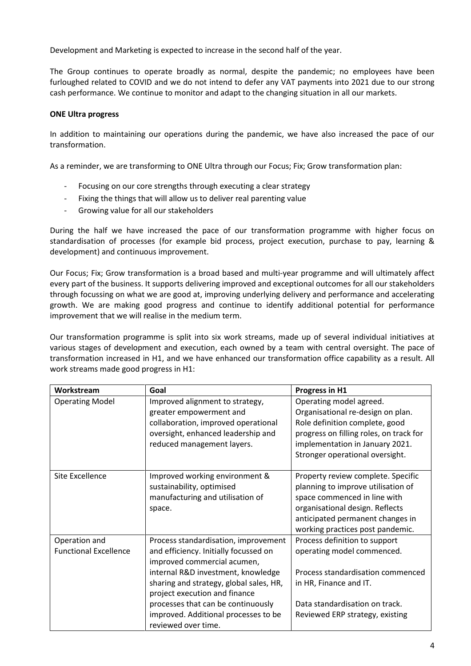Development and Marketing is expected to increase in the second half of the year.

The Group continues to operate broadly as normal, despite the pandemic; no employees have been furloughed related to COVID and we do not intend to defer any VAT payments into 2021 due to our strong cash performance. We continue to monitor and adapt to the changing situation in all our markets.

### **ONE Ultra progress**

In addition to maintaining our operations during the pandemic, we have also increased the pace of our transformation.

As a reminder, we are transforming to ONE Ultra through our Focus; Fix; Grow transformation plan:

- Focusing on our core strengths through executing a clear strategy
- Fixing the things that will allow us to deliver real parenting value
- Growing value for all our stakeholders

During the half we have increased the pace of our transformation programme with higher focus on standardisation of processes (for example bid process, project execution, purchase to pay, learning & development) and continuous improvement.

Our Focus; Fix; Grow transformation is a broad based and multi-year programme and will ultimately affect every part of the business. It supports delivering improved and exceptional outcomes for all our stakeholders through focussing on what we are good at, improving underlying delivery and performance and accelerating growth. We are making good progress and continue to identify additional potential for performance improvement that we will realise in the medium term.

Our transformation programme is split into six work streams, made up of several individual initiatives at various stages of development and execution, each owned by a team with central oversight. The pace of transformation increased in H1, and we have enhanced our transformation office capability as a result. All work streams made good progress in H1:

| Workstream                   | Goal                                                                                                                                                                  | Progress in H1                                                                                                                                                                                                      |
|------------------------------|-----------------------------------------------------------------------------------------------------------------------------------------------------------------------|---------------------------------------------------------------------------------------------------------------------------------------------------------------------------------------------------------------------|
| <b>Operating Model</b>       | Improved alignment to strategy,<br>greater empowerment and<br>collaboration, improved operational<br>oversight, enhanced leadership and<br>reduced management layers. | Operating model agreed.<br>Organisational re-design on plan.<br>Role definition complete, good<br>progress on filling roles, on track for<br>implementation in January 2021.<br>Stronger operational oversight.     |
|                              |                                                                                                                                                                       |                                                                                                                                                                                                                     |
| Site Excellence              | Improved working environment &<br>sustainability, optimised<br>manufacturing and utilisation of<br>space.                                                             | Property review complete. Specific<br>planning to improve utilisation of<br>space commenced in line with<br>organisational design. Reflects<br>anticipated permanent changes in<br>working practices post pandemic. |
| Operation and                | Process standardisation, improvement                                                                                                                                  | Process definition to support                                                                                                                                                                                       |
| <b>Functional Excellence</b> | and efficiency. Initially focussed on<br>improved commercial acumen,                                                                                                  | operating model commenced.                                                                                                                                                                                          |
|                              | internal R&D investment, knowledge                                                                                                                                    | Process standardisation commenced                                                                                                                                                                                   |
|                              | sharing and strategy, global sales, HR,<br>project execution and finance                                                                                              | in HR, Finance and IT.                                                                                                                                                                                              |
|                              | processes that can be continuously                                                                                                                                    | Data standardisation on track.                                                                                                                                                                                      |
|                              | improved. Additional processes to be<br>reviewed over time.                                                                                                           | Reviewed ERP strategy, existing                                                                                                                                                                                     |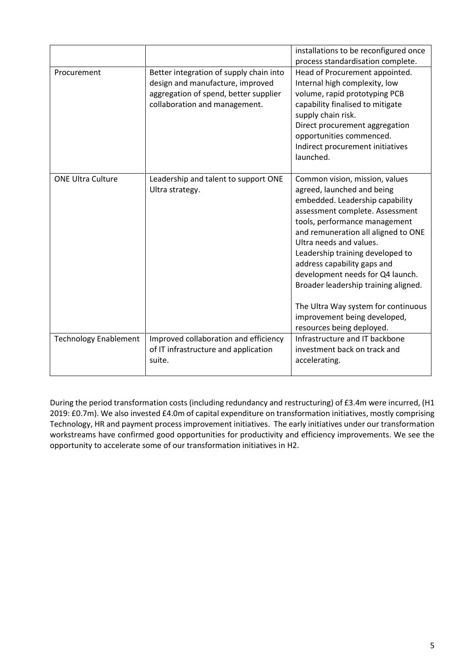|                              |                                                                                                                                                       | installations to be reconfigured once<br>process standardisation complete.                                                                                                                                                                                                                                                                                                                                                                                                               |
|------------------------------|-------------------------------------------------------------------------------------------------------------------------------------------------------|------------------------------------------------------------------------------------------------------------------------------------------------------------------------------------------------------------------------------------------------------------------------------------------------------------------------------------------------------------------------------------------------------------------------------------------------------------------------------------------|
| Procurement                  | Better integration of supply chain into<br>design and manufacture, improved<br>aggregation of spend, better supplier<br>collaboration and management. | Head of Procurement appointed.<br>Internal high complexity, low<br>volume, rapid prototyping PCB<br>capability finalised to mitigate<br>supply chain risk.<br>Direct procurement aggregation<br>opportunities commenced.<br>Indirect procurement initiatives<br>launched.                                                                                                                                                                                                                |
| <b>ONE Ultra Culture</b>     | Leadership and talent to support ONE<br>Ultra strategy.                                                                                               | Common vision, mission, values<br>agreed, launched and being<br>embedded. Leadership capability<br>assessment complete. Assessment<br>tools, performance management<br>and remuneration all aligned to ONE<br>Ultra needs and values.<br>Leadership training developed to<br>address capability gaps and<br>development needs for Q4 launch.<br>Broader leadership training aligned.<br>The Ultra Way system for continuous<br>improvement being developed,<br>resources being deployed. |
| <b>Technology Enablement</b> | Improved collaboration and efficiency<br>of IT infrastructure and application<br>suite.                                                               | Infrastructure and IT backbone<br>investment back on track and<br>accelerating.                                                                                                                                                                                                                                                                                                                                                                                                          |

During the period transformation costs (including redundancy and restructuring) of £3.4m were incurred, (H1 2019: £0.7m). We also invested £4.0m of capital expenditure on transformation initiatives, mostly comprising Technology, HR and payment process improvement initiatives. The early initiatives under our transformation workstreams have confirmed good opportunities for productivity and efficiency improvements. We see the opportunity to accelerate some of our transformation initiatives in H2.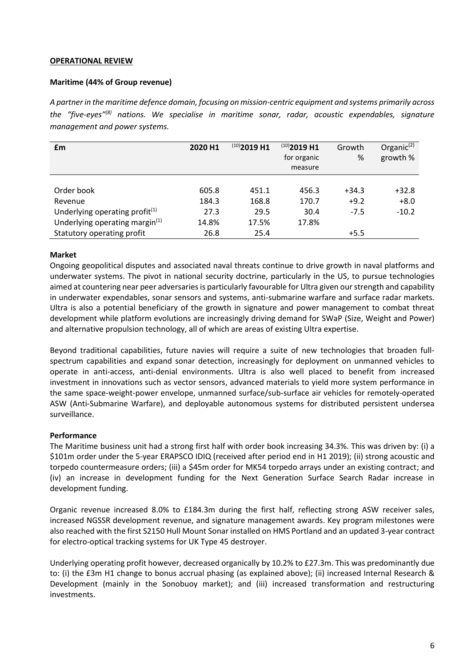### **OPERATIONAL REVIEW**

### **Maritime (44% of Group revenue)**

*A partner in the maritime defence domain, focusing on mission-centric equipment and systems primarily across the "five-eyes" (8) nations. We specialise in maritime sonar, radar, acoustic expendables, signature management and power systems.*

| £m                                | 2020 H1 | $^{(10)}$ 2019 H1 | $(10)$ 2019 H1<br>for organic<br>measure | Growth<br>% | Organic $(2)$<br>growth % |
|-----------------------------------|---------|-------------------|------------------------------------------|-------------|---------------------------|
|                                   |         |                   |                                          |             |                           |
| Order book                        | 605.8   | 451.1             | 456.3                                    | $+34.3$     | $+32.8$                   |
| Revenue                           | 184.3   | 168.8             | 170.7                                    | $+9.2$      | $+8.0$                    |
| Underlying operating profit $(1)$ | 27.3    | 29.5              | 30.4                                     | $-7.5$      | $-10.2$                   |
| Underlying operating margin $(1)$ | 14.8%   | 17.5%             | 17.8%                                    |             |                           |
| Statutory operating profit        | 26.8    | 25.4              |                                          | $+5.5$      |                           |

### **Market**

Ongoing geopolitical disputes and associated naval threats continue to drive growth in naval platforms and underwater systems. The pivot in national security doctrine, particularly in the US, to pursue technologies aimed at countering near peer adversaries is particularly favourable for Ultra given our strength and capability in underwater expendables, sonar sensors and systems, anti-submarine warfare and surface radar markets. Ultra is also a potential beneficiary of the growth in signature and power management to combat threat development while platform evolutions are increasingly driving demand for SWaP (Size, Weight and Power) and alternative propulsion technology, all of which are areas of existing Ultra expertise.

Beyond traditional capabilities, future navies will require a suite of new technologies that broaden fullspectrum capabilities and expand sonar detection, increasingly for deployment on unmanned vehicles to operate in anti-access, anti-denial environments. Ultra is also well placed to benefit from increased investment in innovations such as vector sensors, advanced materials to yield more system performance in the same space-weight-power envelope, unmanned surface/sub-surface air vehicles for remotely-operated ASW (Anti-Submarine Warfare), and deployable autonomous systems for distributed persistent undersea surveillance.

### **Performance**

The Maritime business unit had a strong first half with order book increasing 34.3%. This was driven by: (i) a \$101m order under the 5-year ERAPSCO IDIQ (received after period end in H1 2019); (ii) strong acoustic and torpedo countermeasure orders; (iii) a \$45m order for MK54 torpedo arrays under an existing contract; and (iv) an increase in development funding for the Next Generation Surface Search Radar increase in development funding.

Organic revenue increased 8.0% to £184.3m during the first half, reflecting strong ASW receiver sales, increased NGSSR development revenue, and signature management awards. Key program milestones were also reached with the first S2150 Hull Mount Sonar installed on HMS Portland and an updated 3-year contract for electro-optical tracking systems for UK Type 45 destroyer.

Underlying operating profit however, decreased organically by 10.2% to £27.3m. This was predominantly due to: (i) the £3m H1 change to bonus accrual phasing (as explained above); (ii) increased Internal Research & Development (mainly in the Sonobuoy market); and (iii) increased transformation and restructuring investments.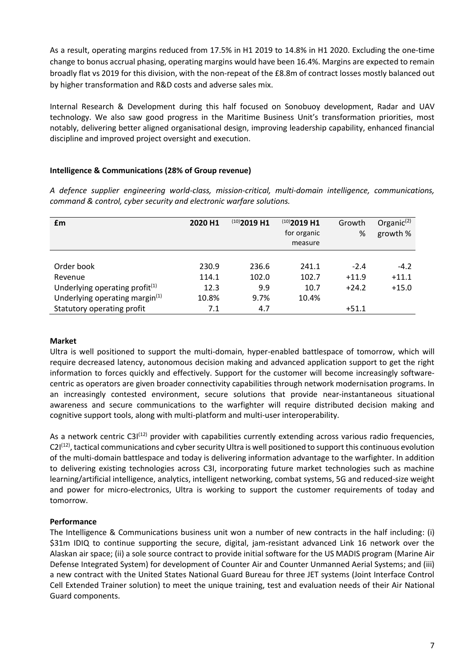As a result, operating margins reduced from 17.5% in H1 2019 to 14.8% in H1 2020. Excluding the one-time change to bonus accrual phasing, operating margins would have been 16.4%. Margins are expected to remain broadly flat vs 2019 for this division, with the non-repeat of the £8.8m of contract losses mostly balanced out by higher transformation and R&D costs and adverse sales mix.

Internal Research & Development during this half focused on Sonobuoy development, Radar and UAV technology. We also saw good progress in the Maritime Business Unit's transformation priorities, most notably, delivering better aligned organisational design, improving leadership capability, enhanced financial discipline and improved project oversight and execution.

### **Intelligence & Communications (28% of Group revenue)**

*A defence supplier engineering world-class, mission-critical, multi-domain intelligence, communications, command & control, cyber security and electronic warfare solutions.*

| £m                                         | 2020 H1 | $(10)$ 2019 H1 | $(10)$ 2019 H1<br>for organic<br>measure | Growth<br>% | Organic $(2)$<br>growth % |
|--------------------------------------------|---------|----------------|------------------------------------------|-------------|---------------------------|
|                                            |         |                |                                          |             |                           |
| Order book                                 | 230.9   | 236.6          | 241.1                                    | $-2.4$      | $-4.2$                    |
| Revenue                                    | 114.1   | 102.0          | 102.7                                    | $+11.9$     | $+11.1$                   |
| Underlying operating profit $(1)$          | 12.3    | 9.9            | 10.7                                     | $+24.2$     | $+15.0$                   |
| Underlying operating margin <sup>(1)</sup> | 10.8%   | 9.7%           | 10.4%                                    |             |                           |
| Statutory operating profit                 | 7.1     | 4.7            |                                          | $+51.1$     |                           |

### **Market**

Ultra is well positioned to support the multi-domain, hyper-enabled battlespace of tomorrow, which will require decreased latency, autonomous decision making and advanced application support to get the right information to forces quickly and effectively. Support for the customer will become increasingly softwarecentric as operators are given broader connectivity capabilities through network modernisation programs. In an increasingly contested environment, secure solutions that provide near-instantaneous situational awareness and secure communications to the warfighter will require distributed decision making and cognitive support tools, along with multi-platform and multi-user interoperability.

As a network centric C31<sup>(12)</sup> provider with capabilities currently extending across various radio frequencies, C2I<sup>(12)</sup>, tactical communications and cyber security Ultra is well positioned to support this continuous evolution of the multi-domain battlespace and today is delivering information advantage to the warfighter. In addition to delivering existing technologies across C3I, incorporating future market technologies such as machine learning/artificial intelligence, analytics, intelligent networking, combat systems, 5G and reduced-size weight and power for micro-electronics, Ultra is working to support the customer requirements of today and tomorrow.

### **Performance**

The Intelligence & Communications business unit won a number of new contracts in the half including: (i) \$31m IDIQ to continue supporting the secure, digital, jam-resistant advanced Link 16 network over the Alaskan air space; (ii) a sole source contract to provide initial software for the US MADIS program (Marine Air Defense Integrated System) for development of Counter Air and Counter Unmanned Aerial Systems; and (iii) a new contract with the United States National Guard Bureau for three JET systems (Joint Interface Control Cell Extended Trainer solution) to meet the unique training, test and evaluation needs of their Air National Guard components.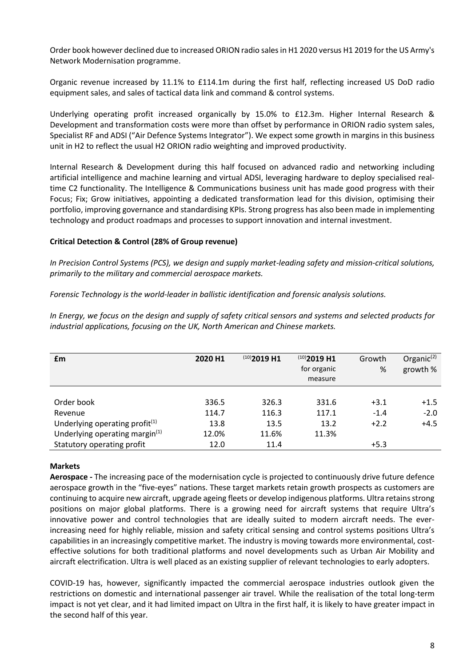Order book however declined due to increased ORION radio sales in H1 2020 versus H1 2019 for the US Army's Network Modernisation programme.

Organic revenue increased by 11.1% to £114.1m during the first half, reflecting increased US DoD radio equipment sales, and sales of tactical data link and command & control systems.

Underlying operating profit increased organically by 15.0% to £12.3m. Higher Internal Research & Development and transformation costs were more than offset by performance in ORION radio system sales, Specialist RF and ADSI ("Air Defence Systems Integrator"). We expect some growth in margins in this business unit in H2 to reflect the usual H2 ORION radio weighting and improved productivity.

Internal Research & Development during this half focused on advanced radio and networking including artificial intelligence and machine learning and virtual ADSI, leveraging hardware to deploy specialised realtime C2 functionality. The Intelligence & Communications business unit has made good progress with their Focus; Fix; Grow initiatives, appointing a dedicated transformation lead for this division, optimising their portfolio, improving governance and standardising KPIs. Strong progress has also been made in implementing technology and product roadmaps and processes to support innovation and internal investment.

### **Critical Detection & Control (28% of Group revenue)**

*In Precision Control Systems (PCS), we design and supply market-leading safety and mission-critical solutions, primarily to the military and commercial aerospace markets.*

*Forensic Technology is the world-leader in ballistic identification and forensic analysis solutions.*

*In Energy, we focus on the design and supply of safety critical sensors and systems and selected products for industrial applications, focusing on the UK, North American and Chinese markets.*

| £m                                         | 2020 H1 | $(10)$ 2019 H1 | $(10)$ 2019 H1<br>for organic<br>measure | Growth<br>% | Organic $(2)$<br>growth % |
|--------------------------------------------|---------|----------------|------------------------------------------|-------------|---------------------------|
|                                            |         |                |                                          |             |                           |
| Order book                                 | 336.5   | 326.3          | 331.6                                    | $+3.1$      | $+1.5$                    |
| Revenue                                    | 114.7   | 116.3          | 117.1                                    | $-1.4$      | $-2.0$                    |
| Underlying operating profit $(1)$          | 13.8    | 13.5           | 13.2                                     | $+2.2$      | $+4.5$                    |
| Underlying operating margin <sup>(1)</sup> | 12.0%   | 11.6%          | 11.3%                                    |             |                           |
| Statutory operating profit                 | 12.0    | 11.4           |                                          | $+5.3$      |                           |

### **Markets**

**Aerospace -** The increasing pace of the modernisation cycle is projected to continuously drive future defence aerospace growth in the "five-eyes" nations. These target markets retain growth prospects as customers are continuing to acquire new aircraft, upgrade ageing fleets or develop indigenous platforms. Ultra retains strong positions on major global platforms. There is a growing need for aircraft systems that require Ultra's innovative power and control technologies that are ideally suited to modern aircraft needs. The everincreasing need for highly reliable, mission and safety critical sensing and control systems positions Ultra's capabilities in an increasingly competitive market. The industry is moving towards more environmental, costeffective solutions for both traditional platforms and novel developments such as Urban Air Mobility and aircraft electrification. Ultra is well placed as an existing supplier of relevant technologies to early adopters.

COVID-19 has, however, significantly impacted the commercial aerospace industries outlook given the restrictions on domestic and international passenger air travel. While the realisation of the total long-term impact is not yet clear, and it had limited impact on Ultra in the first half, it is likely to have greater impact in the second half of this year.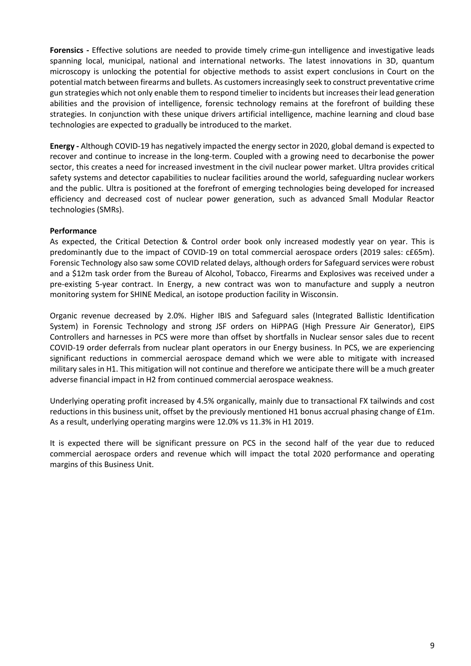**Forensics -** Effective solutions are needed to provide timely crime-gun intelligence and investigative leads spanning local, municipal, national and international networks. The latest innovations in 3D, quantum microscopy is unlocking the potential for objective methods to assist expert conclusions in Court on the potential match between firearms and bullets. As customers increasingly seek to construct preventative crime gun strategies which not only enable them to respond timelier to incidents but increases their lead generation abilities and the provision of intelligence, forensic technology remains at the forefront of building these strategies. In conjunction with these unique drivers artificial intelligence, machine learning and cloud base technologies are expected to gradually be introduced to the market.

**Energy -** Although COVID-19 has negatively impacted the energy sector in 2020, global demand is expected to recover and continue to increase in the long-term. Coupled with a growing need to decarbonise the power sector, this creates a need for increased investment in the civil nuclear power market. Ultra provides critical safety systems and detector capabilities to nuclear facilities around the world, safeguarding nuclear workers and the public. Ultra is positioned at the forefront of emerging technologies being developed for increased efficiency and decreased cost of nuclear power generation, such as advanced Small Modular Reactor technologies (SMRs).

### **Performance**

As expected, the Critical Detection & Control order book only increased modestly year on year. This is predominantly due to the impact of COVID-19 on total commercial aerospace orders (2019 sales: c£65m). Forensic Technology also saw some COVID related delays, although orders for Safeguard services were robust and a \$12m task order from the Bureau of Alcohol, Tobacco, Firearms and Explosives was received under a pre-existing 5-year contract. In Energy, a new contract was won to manufacture and supply a neutron monitoring system for SHINE Medical, an isotope production facility in Wisconsin.

Organic revenue decreased by 2.0%. Higher IBIS and Safeguard sales (Integrated Ballistic Identification System) in Forensic Technology and strong JSF orders on HiPPAG (High Pressure Air Generator), EIPS Controllers and harnesses in PCS were more than offset by shortfalls in Nuclear sensor sales due to recent COVID-19 order deferrals from nuclear plant operators in our Energy business. In PCS, we are experiencing significant reductions in commercial aerospace demand which we were able to mitigate with increased military sales in H1. This mitigation will not continue and therefore we anticipate there will be a much greater adverse financial impact in H2 from continued commercial aerospace weakness.

Underlying operating profit increased by 4.5% organically, mainly due to transactional FX tailwinds and cost reductions in this business unit, offset by the previously mentioned H1 bonus accrual phasing change of £1m. As a result, underlying operating margins were 12.0% vs 11.3% in H1 2019.

It is expected there will be significant pressure on PCS in the second half of the year due to reduced commercial aerospace orders and revenue which will impact the total 2020 performance and operating margins of this Business Unit.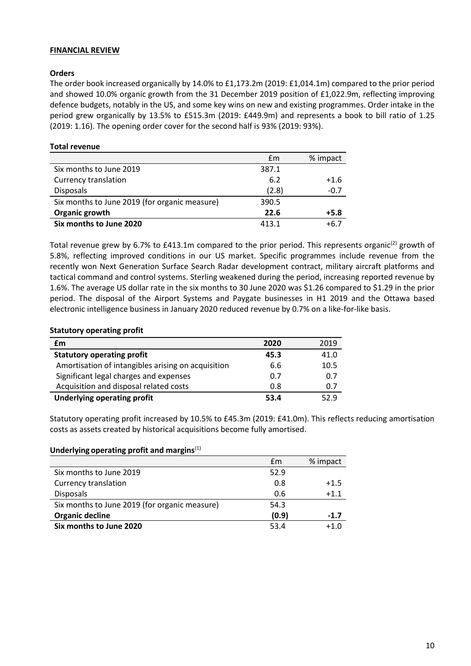### **FINANCIAL REVIEW**

### **Orders**

The order book increased organically by 14.0% to £1,173.2m (2019: £1,014.1m) compared to the prior period and showed 10.0% organic growth from the 31 December 2019 position of £1,022.9m, reflecting improving defence budgets, notably in the US, and some key wins on new and existing programmes. Order intake in the period grew organically by 13.5% to £515.3m (2019: £449.9m) and represents a book to bill ratio of 1.25 (2019: 1.16). The opening order cover for the second half is 93% (2019: 93%).

### **Total revenue**

|                                               | £m    | % impact |
|-----------------------------------------------|-------|----------|
| Six months to June 2019                       | 387.1 |          |
| <b>Currency translation</b>                   | 6.2   | $+1.6$   |
| Disposals                                     | (2.8) | $-0.7$   |
| Six months to June 2019 (for organic measure) | 390.5 |          |
| Organic growth                                | 22.6  | $+5.8$   |
| Six months to June 2020                       | 413.1 | +6.7     |

Total revenue grew by 6.7% to £413.1m compared to the prior period. This represents organic<sup>(2)</sup> growth of 5.8%, reflecting improved conditions in our US market. Specific programmes include revenue from the recently won Next Generation Surface Search Radar development contract, military aircraft platforms and tactical command and control systems. Sterling weakened during the period, increasing reported revenue by 1.6%. The average US dollar rate in the six months to 30 June 2020 was \$1.26 compared to \$1.29 in the prior period. The disposal of the Airport Systems and Paygate businesses in H1 2019 and the Ottawa based electronic intelligence business in January 2020 reduced revenue by 0.7% on a like-for-like basis.

### **Statutory operating profit**

| £m                                                 | 2020 | 2019 |
|----------------------------------------------------|------|------|
| <b>Statutory operating profit</b>                  | 45.3 | 41.0 |
| Amortisation of intangibles arising on acquisition | 6.6  | 10.5 |
| Significant legal charges and expenses             | 0.7  | 0.7  |
| Acquisition and disposal related costs             | 0.8  | 0.7  |
| <b>Underlying operating profit</b>                 | 53.4 | 52.9 |

Statutory operating profit increased by 10.5% to £45.3m (2019: £41.0m). This reflects reducing amortisation costs as assets created by historical acquisitions become fully amortised.

### **Underlying operating profit and margins**(1)

|                                               | £m    | % impact |
|-----------------------------------------------|-------|----------|
| Six months to June 2019                       | 52.9  |          |
| <b>Currency translation</b>                   | 0.8   | $+1.5$   |
| <b>Disposals</b>                              | 0.6   | $+1.1$   |
| Six months to June 2019 (for organic measure) | 54.3  |          |
| Organic decline                               | (0.9) | $-1.7$   |
| Six months to June 2020                       | 53.4  | $+1.0$   |
|                                               |       |          |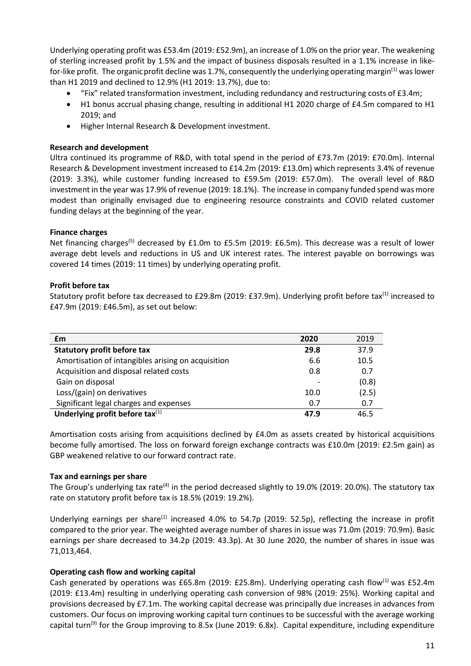Underlying operating profit was £53.4m (2019: £52.9m), an increase of 1.0% on the prior year. The weakening of sterling increased profit by 1.5% and the impact of business disposals resulted in a 1.1% increase in likefor-like profit. The organic profit decline was 1.7%, consequently the underlying operating margin<sup>(1)</sup> was lower than H1 2019 and declined to 12.9% (H1 2019: 13.7%), due to:

- "Fix" related transformation investment, including redundancy and restructuring costs of £3.4m;
- H1 bonus accrual phasing change, resulting in additional H1 2020 charge of £4.5m compared to H1 2019; and
- Higher Internal Research & Development investment.

### **Research and development**

Ultra continued its programme of R&D, with total spend in the period of £73.7m (2019: £70.0m). Internal Research & Development investment increased to £14.2m (2019: £13.0m) which represents 3.4% of revenue (2019: 3.3%), while customer funding increased to £59.5m (2019: £57.0m). The overall level of R&D investment in the year was 17.9% of revenue (2019: 18.1%). The increase in company funded spend was more modest than originally envisaged due to engineering resource constraints and COVID related customer funding delays at the beginning of the year.

### **Finance charges**

Net financing charges<sup>(5)</sup> decreased by £1.0m to £5.5m (2019: £6.5m). This decrease was a result of lower average debt levels and reductions in US and UK interest rates. The interest payable on borrowings was covered 14 times (2019: 11 times) by underlying operating profit.

### **Profit before tax**

Statutory profit before tax decreased to £29.8m (2019: £37.9m). Underlying profit before tax<sup>(1)</sup> increased to £47.9m (2019: £46.5m), as set out below:

| £m                                                 | 2020                     | 2019  |
|----------------------------------------------------|--------------------------|-------|
| <b>Statutory profit before tax</b>                 | 29.8                     | 37.9  |
| Amortisation of intangibles arising on acquisition | 6.6                      | 10.5  |
| Acquisition and disposal related costs             | 0.8                      | 0.7   |
| Gain on disposal                                   | $\overline{\phantom{a}}$ | (0.8) |
| Loss/(gain) on derivatives                         | 10.0                     | (2.5) |
| Significant legal charges and expenses             | 0.7                      | 0.7   |
| Underlying profit before tax $(1)$                 | 47.9                     | 46.5  |

Amortisation costs arising from acquisitions declined by £4.0m as assets created by historical acquisitions become fully amortised. The loss on forward foreign exchange contracts was £10.0m (2019: £2.5m gain) as GBP weakened relative to our forward contract rate.

### **Tax and earnings per share**

The Group's underlying tax rate<sup>(4)</sup> in the period decreased slightly to 19.0% (2019: 20.0%). The statutory tax rate on statutory profit before tax is 18.5% (2019: 19.2%).

Underlying earnings per share<sup>(1)</sup> increased 4.0% to 54.7p (2019: 52.5p), reflecting the increase in profit compared to the prior year. The weighted average number of shares in issue was 71.0m (2019: 70.9m). Basic earnings per share decreased to 34.2p (2019: 43.3p). At 30 June 2020, the number of shares in issue was 71,013,464.

### **Operating cash flow and working capital**

Cash generated by operations was £65.8m (2019: £25.8m). Underlying operating cash flow<sup>(1)</sup> was £52.4m (2019: £13.4m) resulting in underlying operating cash conversion of 98% (2019: 25%). Working capital and provisions decreased by £7.1m. The working capital decrease was principally due increases in advances from customers. Our focus on improving working capital turn continues to be successful with the average working capital turn<sup>(9)</sup> for the Group improving to 8.5x (June 2019: 6.8x). Capital expenditure, including expenditure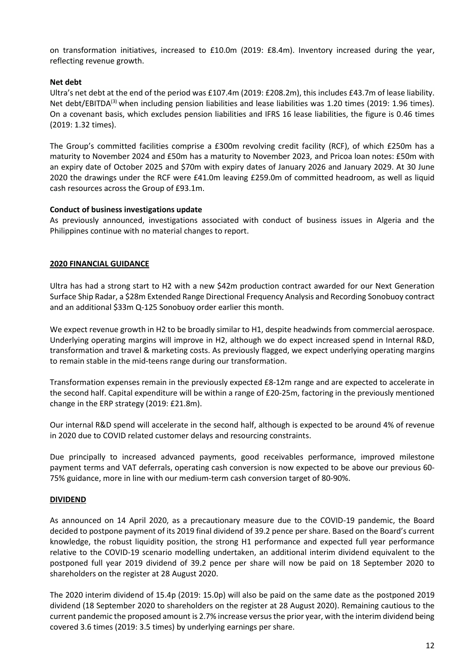on transformation initiatives, increased to £10.0m (2019: £8.4m). Inventory increased during the year, reflecting revenue growth.

### **Net debt**

Ultra's net debt at the end of the period was £107.4m (2019: £208.2m), this includes £43.7m of lease liability. Net debt/EBITDA<sup>(3)</sup> when including pension liabilities and lease liabilities was 1.20 times (2019: 1.96 times). On a covenant basis, which excludes pension liabilities and IFRS 16 lease liabilities, the figure is 0.46 times (2019: 1.32 times).

The Group's committed facilities comprise a £300m revolving credit facility (RCF), of which £250m has a maturity to November 2024 and £50m has a maturity to November 2023, and Pricoa loan notes: £50m with an expiry date of October 2025 and \$70m with expiry dates of January 2026 and January 2029. At 30 June 2020 the drawings under the RCF were £41.0m leaving £259.0m of committed headroom, as well as liquid cash resources across the Group of £93.1m.

### **Conduct of business investigations update**

As previously announced, investigations associated with conduct of business issues in Algeria and the Philippines continue with no material changes to report.

### **2020 FINANCIAL GUIDANCE**

Ultra has had a strong start to H2 with a new \$42m production contract awarded for our Next Generation Surface Ship Radar, a \$28m Extended Range Directional Frequency Analysis and Recording Sonobuoy contract and an additional \$33m Q-125 Sonobuoy order earlier this month.

We expect revenue growth in H2 to be broadly similar to H1, despite headwinds from commercial aerospace. Underlying operating margins will improve in H2, although we do expect increased spend in Internal R&D, transformation and travel & marketing costs. As previously flagged, we expect underlying operating margins to remain stable in the mid-teens range during our transformation.

Transformation expenses remain in the previously expected £8-12m range and are expected to accelerate in the second half. Capital expenditure will be within a range of £20-25m, factoring in the previously mentioned change in the ERP strategy (2019: £21.8m).

Our internal R&D spend will accelerate in the second half, although is expected to be around 4% of revenue in 2020 due to COVID related customer delays and resourcing constraints.

Due principally to increased advanced payments, good receivables performance, improved milestone payment terms and VAT deferrals, operating cash conversion is now expected to be above our previous 60- 75% guidance, more in line with our medium-term cash conversion target of 80-90%.

### **DIVIDEND**

As announced on 14 April 2020, as a precautionary measure due to the COVID-19 pandemic, the Board decided to postpone payment of its 2019 final dividend of 39.2 pence per share. Based on the Board's current knowledge, the robust liquidity position, the strong H1 performance and expected full year performance relative to the COVID-19 scenario modelling undertaken, an additional interim dividend equivalent to the postponed full year 2019 dividend of 39.2 pence per share will now be paid on 18 September 2020 to shareholders on the register at 28 August 2020.

The 2020 interim dividend of 15.4p (2019: 15.0p) will also be paid on the same date as the postponed 2019 dividend (18 September 2020 to shareholders on the register at 28 August 2020). Remaining cautious to the current pandemic the proposed amount is 2.7% increase versusthe prior year, with the interim dividend being covered 3.6 times (2019: 3.5 times) by underlying earnings per share.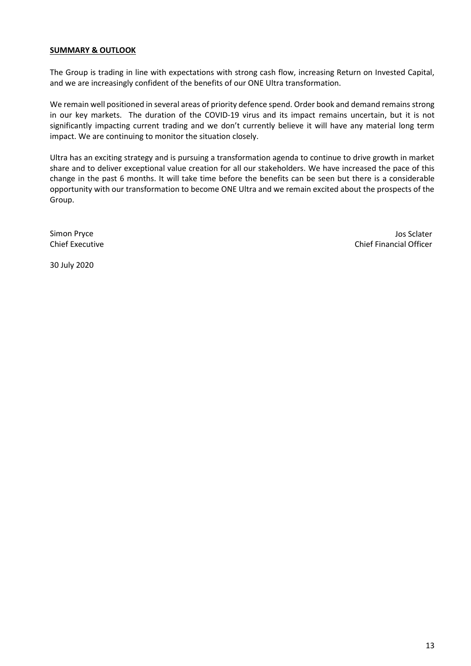### **SUMMARY & OUTLOOK**

The Group is trading in line with expectations with strong cash flow, increasing Return on Invested Capital, and we are increasingly confident of the benefits of our ONE Ultra transformation.

We remain well positioned in several areas of priority defence spend. Order book and demand remains strong in our key markets. The duration of the COVID-19 virus and its impact remains uncertain, but it is not significantly impacting current trading and we don't currently believe it will have any material long term impact. We are continuing to monitor the situation closely.

Ultra has an exciting strategy and is pursuing a transformation agenda to continue to drive growth in market share and to deliver exceptional value creation for all our stakeholders. We have increased the pace of this change in the past 6 months. It will take time before the benefits can be seen but there is a considerable opportunity with our transformation to become ONE Ultra and we remain excited about the prospects of the Group.

Simon Pryce Chief Executive

Jos Sclater Chief Financial Officer

30 July 2020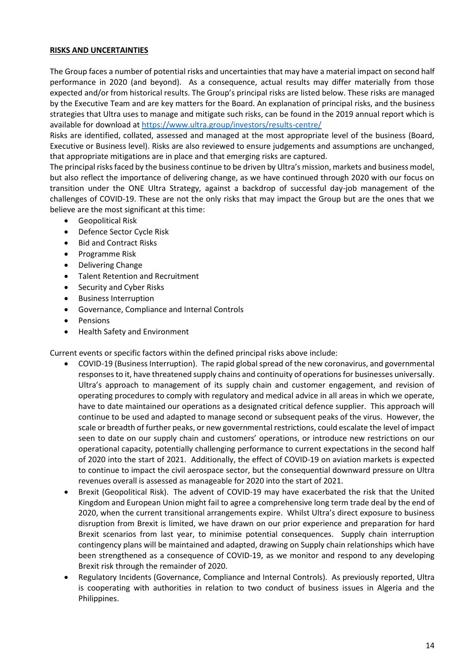### **RISKS AND UNCERTAINTIES**

The Group faces a number of potential risks and uncertainties that may have a material impact on second half performance in 2020 (and beyond). As a consequence, actual results may differ materially from those expected and/or from historical results. The Group's principal risks are listed below. These risks are managed by the Executive Team and are key matters for the Board. An explanation of principal risks, and the business strategies that Ultra uses to manage and mitigate such risks, can be found in the 2019 annual report which is available for download at<https://www.ultra.group/investors/results-centre/>

Risks are identified, collated, assessed and managed at the most appropriate level of the business (Board, Executive or Business level). Risks are also reviewed to ensure judgements and assumptions are unchanged, that appropriate mitigations are in place and that emerging risks are captured.

The principal risks faced by the business continue to be driven by Ultra's mission, markets and business model, but also reflect the importance of delivering change, as we have continued through 2020 with our focus on transition under the ONE Ultra Strategy, against a backdrop of successful day-job management of the challenges of COVID-19. These are not the only risks that may impact the Group but are the ones that we believe are the most significant at this time:

- Geopolitical Risk
- Defence Sector Cycle Risk
- **Bid and Contract Risks**
- Programme Risk
- Delivering Change
- Talent Retention and Recruitment
- Security and Cyber Risks
- Business Interruption
- Governance, Compliance and Internal Controls
- Pensions
- Health Safety and Environment

Current events or specific factors within the defined principal risks above include:

- COVID-19 (Business Interruption). The rapid global spread of the new coronavirus, and governmental responses to it, have threatened supply chains and continuity of operations for businesses universally. Ultra's approach to management of its supply chain and customer engagement, and revision of operating procedures to comply with regulatory and medical advice in all areas in which we operate, have to date maintained our operations as a designated critical defence supplier. This approach will continue to be used and adapted to manage second or subsequent peaks of the virus. However, the scale or breadth of further peaks, or new governmental restrictions, could escalate the level of impact seen to date on our supply chain and customers' operations, or introduce new restrictions on our operational capacity, potentially challenging performance to current expectations in the second half of 2020 into the start of 2021. Additionally, the effect of COVID-19 on aviation markets is expected to continue to impact the civil aerospace sector, but the consequential downward pressure on Ultra revenues overall is assessed as manageable for 2020 into the start of 2021.
- Brexit (Geopolitical Risk). The advent of COVID-19 may have exacerbated the risk that the United Kingdom and European Union might fail to agree a comprehensive long term trade deal by the end of 2020, when the current transitional arrangements expire. Whilst Ultra's direct exposure to business disruption from Brexit is limited, we have drawn on our prior experience and preparation for hard Brexit scenarios from last year, to minimise potential consequences. Supply chain interruption contingency plans will be maintained and adapted, drawing on Supply chain relationships which have been strengthened as a consequence of COVID-19, as we monitor and respond to any developing Brexit risk through the remainder of 2020.
- Regulatory Incidents (Governance, Compliance and Internal Controls). As previously reported, Ultra is cooperating with authorities in relation to two conduct of business issues in Algeria and the Philippines.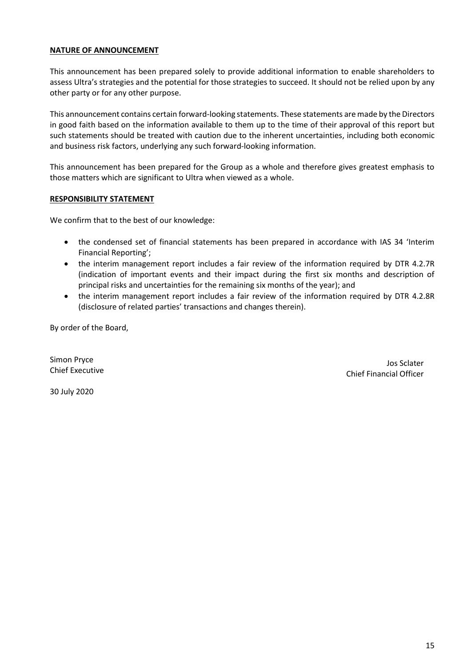### **NATURE OF ANNOUNCEMENT**

This announcement has been prepared solely to provide additional information to enable shareholders to assess Ultra's strategies and the potential for those strategies to succeed. It should not be relied upon by any other party or for any other purpose.

This announcement contains certain forward-looking statements. These statements are made by the Directors in good faith based on the information available to them up to the time of their approval of this report but such statements should be treated with caution due to the inherent uncertainties, including both economic and business risk factors, underlying any such forward-looking information.

This announcement has been prepared for the Group as a whole and therefore gives greatest emphasis to those matters which are significant to Ultra when viewed as a whole.

### **RESPONSIBILITY STATEMENT**

We confirm that to the best of our knowledge:

- the condensed set of financial statements has been prepared in accordance with IAS 34 'Interim Financial Reporting';
- the interim management report includes a fair review of the information required by DTR 4.2.7R (indication of important events and their impact during the first six months and description of principal risks and uncertainties for the remaining six months of the year); and
- the interim management report includes a fair review of the information required by DTR 4.2.8R (disclosure of related parties' transactions and changes therein).

By order of the Board,

Simon Pryce Chief Executive

Jos Sclater Chief Financial Officer

30 July 2020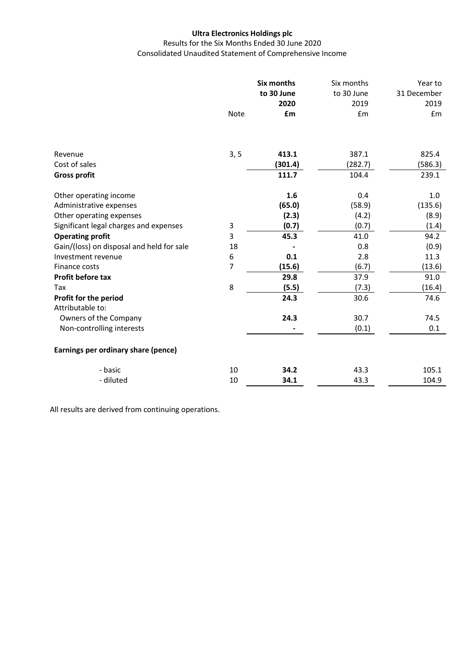Results for the Six Months Ended 30 June 2020 Consolidated Unaudited Statement of Comprehensive Income

|                                           | <b>Six months</b><br>to 30 June<br>2020 |         | Six months<br>to 30 June<br>2019 | Year to<br>31 December<br>2019 |
|-------------------------------------------|-----------------------------------------|---------|----------------------------------|--------------------------------|
|                                           | <b>Note</b>                             | £m      | £m                               | £m                             |
|                                           |                                         |         |                                  |                                |
| Revenue                                   | 3, 5                                    | 413.1   | 387.1                            | 825.4                          |
| Cost of sales                             |                                         | (301.4) | (282.7)                          | (586.3)                        |
| <b>Gross profit</b>                       |                                         | 111.7   | 104.4                            | 239.1                          |
| Other operating income                    |                                         | 1.6     | 0.4                              | 1.0                            |
| Administrative expenses                   |                                         | (65.0)  | (58.9)                           | (135.6)                        |
| Other operating expenses                  |                                         | (2.3)   | (4.2)                            | (8.9)                          |
| Significant legal charges and expenses    | 3                                       | (0.7)   | (0.7)                            | (1.4)                          |
| <b>Operating profit</b>                   | 3                                       | 45.3    | 41.0                             | 94.2                           |
| Gain/(loss) on disposal and held for sale | 18                                      |         | 0.8                              | (0.9)                          |
| Investment revenue                        | 6                                       | 0.1     | 2.8                              | 11.3                           |
| Finance costs                             | 7                                       | (15.6)  | (6.7)                            | (13.6)                         |
| Profit before tax                         |                                         | 29.8    | 37.9                             | 91.0                           |
| Tax                                       | 8                                       | (5.5)   | (7.3)                            | (16.4)                         |
| Profit for the period<br>Attributable to: |                                         | 24.3    | 30.6                             | 74.6                           |
| Owners of the Company                     |                                         | 24.3    | 30.7                             | 74.5                           |
| Non-controlling interests                 |                                         |         | (0.1)                            | 0.1                            |
| Earnings per ordinary share (pence)       |                                         |         |                                  |                                |
| - basic                                   | 10                                      | 34.2    | 43.3                             | 105.1                          |
| - diluted                                 | 10                                      | 34.1    | 43.3                             | 104.9                          |

All results are derived from continuing operations.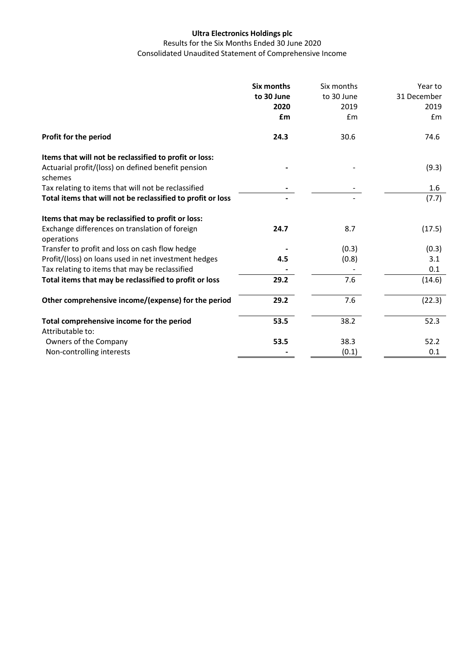Results for the Six Months Ended 30 June 2020 Consolidated Unaudited Statement of Comprehensive Income

|                                                               | <b>Six months</b><br>to 30 June<br>2020<br>£m | Six months<br>to 30 June<br>2019<br>Em | Year to<br>31 December<br>2019<br>Em |
|---------------------------------------------------------------|-----------------------------------------------|----------------------------------------|--------------------------------------|
| Profit for the period                                         | 24.3                                          | 30.6                                   | 74.6                                 |
| Items that will not be reclassified to profit or loss:        |                                               |                                        |                                      |
| Actuarial profit/(loss) on defined benefit pension<br>schemes |                                               |                                        | (9.3)                                |
| Tax relating to items that will not be reclassified           |                                               |                                        | 1.6                                  |
| Total items that will not be reclassified to profit or loss   |                                               |                                        | (7.7)                                |
| Items that may be reclassified to profit or loss:             |                                               |                                        |                                      |
| Exchange differences on translation of foreign<br>operations  | 24.7                                          | 8.7                                    | (17.5)                               |
| Transfer to profit and loss on cash flow hedge                |                                               | (0.3)                                  | (0.3)                                |
| Profit/(loss) on loans used in net investment hedges          | 4.5                                           | (0.8)                                  | 3.1                                  |
| Tax relating to items that may be reclassified                |                                               |                                        | 0.1                                  |
| Total items that may be reclassified to profit or loss        | 29.2                                          | 7.6                                    | (14.6)                               |
| Other comprehensive income/(expense) for the period           | 29.2                                          | 7.6                                    | (22.3)                               |
| Total comprehensive income for the period<br>Attributable to: | 53.5                                          | 38.2                                   | 52.3                                 |
| Owners of the Company                                         | 53.5                                          | 38.3                                   | 52.2                                 |
| Non-controlling interests                                     |                                               | (0.1)                                  | 0.1                                  |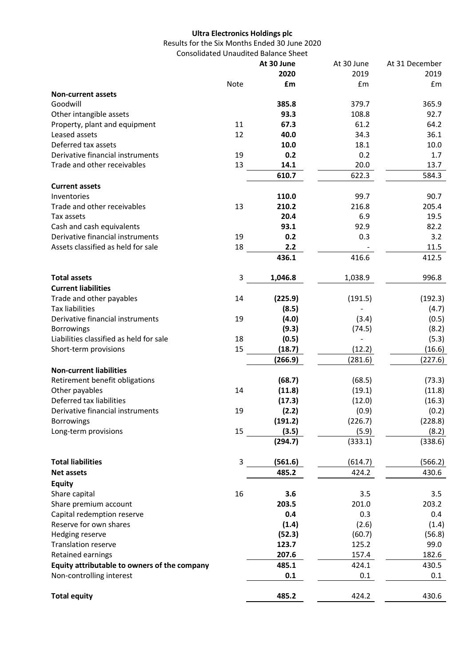Results for the Six Months Ended 30 June 2020 Consolidated Unaudited Balance Sheet

|                                              |      | At 30 June | At 30 June | At 31 December |
|----------------------------------------------|------|------------|------------|----------------|
|                                              |      | 2020       | 2019       | 2019           |
|                                              | Note | £m         | £m         | £m             |
| <b>Non-current assets</b>                    |      |            |            |                |
| Goodwill                                     |      | 385.8      | 379.7      | 365.9          |
| Other intangible assets                      |      | 93.3       | 108.8      | 92.7           |
| Property, plant and equipment                | 11   | 67.3       | 61.2       | 64.2           |
| Leased assets                                | 12   | 40.0       | 34.3       | 36.1           |
| Deferred tax assets                          |      | 10.0       | 18.1       | 10.0           |
| Derivative financial instruments             | 19   | 0.2        | 0.2        | 1.7            |
| Trade and other receivables                  | 13   | 14.1       | 20.0       | 13.7           |
|                                              |      | 610.7      | 622.3      | 584.3          |
| <b>Current assets</b>                        |      |            |            |                |
| Inventories                                  |      | 110.0      | 99.7       | 90.7           |
| Trade and other receivables                  | 13   | 210.2      | 216.8      | 205.4          |
| Tax assets                                   |      | 20.4       | 6.9        | 19.5           |
| Cash and cash equivalents                    |      | 93.1       | 92.9       | 82.2           |
| Derivative financial instruments             | 19   | 0.2        | 0.3        | 3.2            |
| Assets classified as held for sale           | 18   | 2.2        |            | 11.5           |
|                                              |      | 436.1      | 416.6      | 412.5          |
| <b>Total assets</b>                          | 3    | 1,046.8    | 1,038.9    | 996.8          |
| <b>Current liabilities</b>                   |      |            |            |                |
| Trade and other payables                     | 14   | (225.9)    | (191.5)    | (192.3)        |
| <b>Tax liabilities</b>                       |      | (8.5)      |            | (4.7)          |
| Derivative financial instruments             | 19   | (4.0)      | (3.4)      | (0.5)          |
| Borrowings                                   |      | (9.3)      | (74.5)     | (8.2)          |
| Liabilities classified as held for sale      | 18   | (0.5)      |            | (5.3)          |
| Short-term provisions                        | 15   | (18.7)     | (12.2)     | (16.6)         |
|                                              |      | (266.9)    | (281.6)    | (227.6)        |
| <b>Non-current liabilities</b>               |      |            |            |                |
| Retirement benefit obligations               |      | (68.7)     | (68.5)     | (73.3)         |
| Other payables                               | 14   | (11.8)     | (19.1)     | (11.8)         |
| Deferred tax liabilities                     |      | (17.3)     | (12.0)     | (16.3)         |
| Derivative financial instruments             | 19   | (2.2)      | (0.9)      | (0.2)          |
| Borrowings                                   |      | (191.2)    | (226.7)    | (228.8)        |
| Long-term provisions                         | 15   | (3.5)      | (5.9)      | (8.2)          |
|                                              |      | (294.7)    | (333.1)    | (338.6)        |
| <b>Total liabilities</b>                     | 3    | (561.6)    | (614.7)    | (566.2)        |
| <b>Net assets</b>                            |      | 485.2      | 424.2      | 430.6          |
| <b>Equity</b>                                |      |            |            |                |
| Share capital                                | 16   | 3.6        | 3.5        | 3.5            |
| Share premium account                        |      | 203.5      | 201.0      | 203.2          |
| Capital redemption reserve                   |      | 0.4        | 0.3        | 0.4            |
| Reserve for own shares                       |      | (1.4)      | (2.6)      | (1.4)          |
| Hedging reserve                              |      | (52.3)     | (60.7)     | (56.8)         |
| <b>Translation reserve</b>                   |      | 123.7      | 125.2      | 99.0           |
| Retained earnings                            |      | 207.6      | 157.4      | 182.6          |
| Equity attributable to owners of the company |      | 485.1      | 424.1      | 430.5          |
| Non-controlling interest                     |      | 0.1        | 0.1        | 0.1            |
| <b>Total equity</b>                          |      | 485.2      | 424.2      | 430.6          |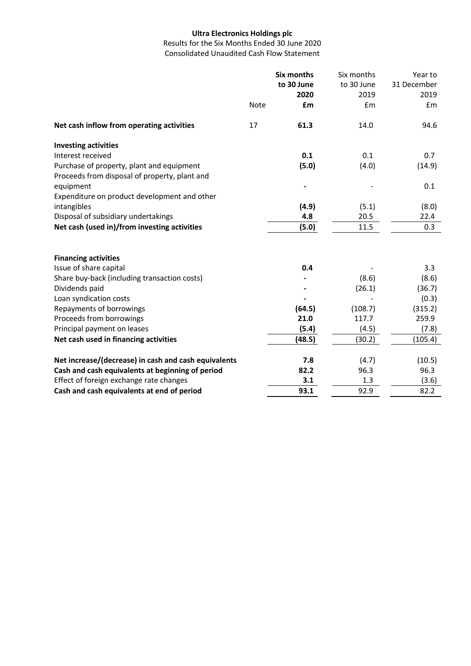Results for the Six Months Ended 30 June 2020 Consolidated Unaudited Cash Flow Statement

|                                                      | <b>Note</b> | <b>Six months</b><br>to 30 June<br>2020<br>£m | Six months<br>to 30 June<br>2019<br>£m | Year to<br>31 December<br>2019<br>£m |
|------------------------------------------------------|-------------|-----------------------------------------------|----------------------------------------|--------------------------------------|
| Net cash inflow from operating activities            | 17          | 61.3                                          | 14.0                                   | 94.6                                 |
| <b>Investing activities</b>                          |             |                                               |                                        |                                      |
| Interest received                                    |             | 0.1                                           | 0.1                                    | 0.7                                  |
| Purchase of property, plant and equipment            |             | (5.0)                                         | (4.0)                                  | (14.9)                               |
| Proceeds from disposal of property, plant and        |             |                                               |                                        |                                      |
| equipment                                            |             |                                               |                                        | 0.1                                  |
| Expenditure on product development and other         |             |                                               |                                        |                                      |
| intangibles                                          |             | (4.9)                                         | (5.1)                                  | (8.0)                                |
| Disposal of subsidiary undertakings                  |             | 4.8                                           | 20.5                                   | 22.4                                 |
| Net cash (used in)/from investing activities         |             | (5.0)                                         | 11.5                                   | 0.3                                  |
| <b>Financing activities</b>                          |             |                                               |                                        |                                      |
| Issue of share capital                               |             | 0.4                                           |                                        | 3.3                                  |
| Share buy-back (including transaction costs)         |             |                                               | (8.6)                                  | (8.6)                                |
| Dividends paid                                       |             |                                               | (26.1)                                 | (36.7)                               |
| Loan syndication costs                               |             |                                               |                                        | (0.3)                                |
| Repayments of borrowings                             |             | (64.5)                                        | (108.7)                                | (315.2)                              |
| Proceeds from borrowings                             |             | 21.0                                          | 117.7                                  | 259.9                                |
| Principal payment on leases                          |             | (5.4)                                         | (4.5)                                  | (7.8)                                |
| Net cash used in financing activities                |             | (48.5)                                        | (30.2)                                 | (105.4)                              |
| Net increase/(decrease) in cash and cash equivalents |             | 7.8                                           |                                        |                                      |
| Cash and cash equivalents at beginning of period     |             | 82.2                                          | (4.7)<br>96.3                          | (10.5)<br>96.3                       |
| Effect of foreign exchange rate changes              |             | 3.1                                           | 1.3                                    | (3.6)                                |
| Cash and cash equivalents at end of period           |             | 93.1                                          | 92.9                                   | 82.2                                 |
|                                                      |             |                                               |                                        |                                      |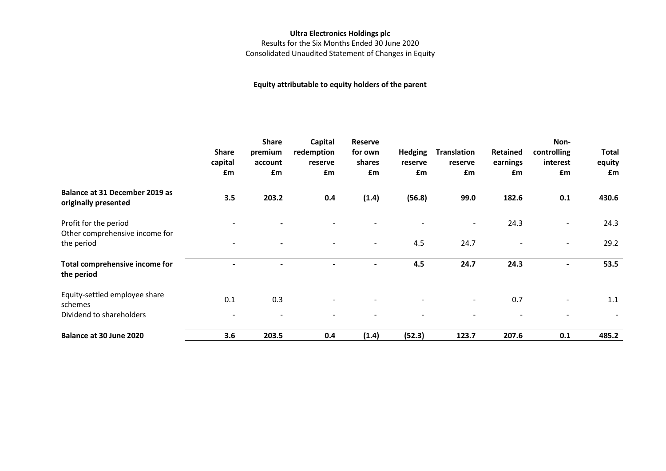Results for the Six Months Ended 30 June 2020 Consolidated Unaudited Statement of Changes in Equity

### **Equity attributable to equity holders of the parent**

|                                                         | Share<br>capital<br>£m   | <b>Share</b><br>premium<br>account<br>£m | Capital<br>redemption<br>reserve<br>£m | <b>Reserve</b><br>for own<br>shares<br>£m | <b>Hedging</b><br>reserve<br>£m | <b>Translation</b><br>reserve<br>£m | Retained<br>earnings<br>£m | Non-<br>controlling<br>interest<br>£m | <b>Total</b><br>equity<br>£m |
|---------------------------------------------------------|--------------------------|------------------------------------------|----------------------------------------|-------------------------------------------|---------------------------------|-------------------------------------|----------------------------|---------------------------------------|------------------------------|
| Balance at 31 December 2019 as<br>originally presented  | 3.5                      | 203.2                                    | 0.4                                    | (1.4)                                     | (56.8)                          | 99.0                                | 182.6                      | 0.1                                   | 430.6                        |
| Profit for the period<br>Other comprehensive income for |                          |                                          |                                        |                                           |                                 | $\overline{\phantom{a}}$            | 24.3                       |                                       | 24.3                         |
| the period                                              | $\overline{\phantom{a}}$ | $\blacksquare$                           | $\blacksquare$                         | $\overline{\phantom{0}}$                  | 4.5                             | 24.7                                | $\overline{\phantom{a}}$   | $\overline{\phantom{a}}$              | 29.2                         |
| Total comprehensive income for<br>the period            |                          |                                          | $\blacksquare$                         | $\overline{\phantom{0}}$                  | 4.5                             | 24.7                                | 24.3                       | $\blacksquare$                        | 53.5                         |
| Equity-settled employee share<br>schemes                | 0.1                      | 0.3                                      |                                        |                                           |                                 | $\sim$                              | 0.7                        |                                       | 1.1                          |
| Dividend to shareholders                                | $\overline{\phantom{0}}$ |                                          |                                        |                                           |                                 |                                     |                            |                                       |                              |
| Balance at 30 June 2020                                 | 3.6                      | 203.5                                    | 0.4                                    | (1.4)                                     | (52.3)                          | 123.7                               | 207.6                      | 0.1                                   | 485.2                        |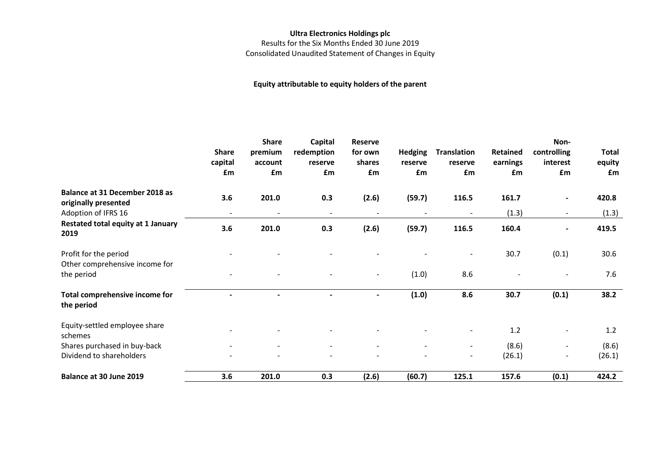Results for the Six Months Ended 30 June 2019 Consolidated Unaudited Statement of Changes in Equity

### **Equity attributable to equity holders of the parent**

|                                                                       | Share<br>capital<br>£m | <b>Share</b><br>premium<br>account<br>£m | Capital<br>redemption<br>reserve<br>£m | Reserve<br>for own<br>shares<br>£m | <b>Hedging</b><br>reserve<br>£m | Translation<br>reserve<br>£m               | Retained<br>earnings<br>£m | Non-<br>controlling<br>interest<br>£m                | <b>Total</b><br>equity<br>£m |
|-----------------------------------------------------------------------|------------------------|------------------------------------------|----------------------------------------|------------------------------------|---------------------------------|--------------------------------------------|----------------------------|------------------------------------------------------|------------------------------|
| Balance at 31 December 2018 as<br>originally presented                | 3.6                    | 201.0                                    | 0.3                                    | (2.6)                              | (59.7)                          | 116.5                                      | 161.7                      | ٠                                                    | 420.8                        |
| Adoption of IFRS 16<br>Restated total equity at 1 January<br>2019     | $\blacksquare$<br>3.6  | $\overline{\phantom{a}}$<br>201.0        | $\overline{\phantom{a}}$<br>0.3        | (2.6)                              | (59.7)                          | 116.5                                      | (1.3)<br>160.4             | $\blacksquare$<br>$\blacksquare$                     | (1.3)<br>419.5               |
| Profit for the period<br>Other comprehensive income for<br>the period |                        |                                          |                                        | $\overline{\phantom{a}}$           | (1.0)                           | 8.6                                        | 30.7                       | (0.1)<br>$\overline{\phantom{0}}$                    | 30.6<br>7.6                  |
| Total comprehensive income for<br>the period                          |                        |                                          |                                        |                                    | (1.0)                           | 8.6                                        | 30.7                       | (0.1)                                                | 38.2                         |
| Equity-settled employee share<br>schemes                              |                        |                                          |                                        |                                    |                                 |                                            | 1.2                        |                                                      | 1.2                          |
| Shares purchased in buy-back<br>Dividend to shareholders              |                        |                                          |                                        |                                    | $\sim$                          | $\blacksquare$<br>$\overline{\phantom{a}}$ | (8.6)<br>(26.1)            | $\overline{\phantom{a}}$<br>$\overline{\phantom{a}}$ | (8.6)<br>(26.1)              |
| Balance at 30 June 2019                                               | 3.6                    | 201.0                                    | 0.3                                    | (2.6)                              | (60.7)                          | 125.1                                      | 157.6                      | (0.1)                                                | 424.2                        |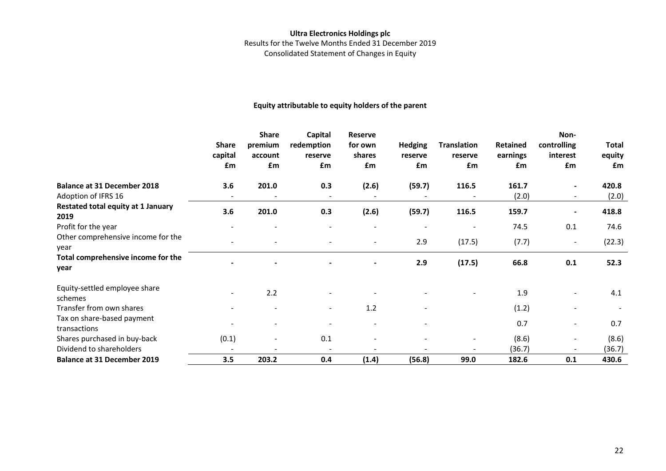### **Ultra Electronics Holdings plc** Results for the Twelve Months Ended 31 December 2019 Consolidated Statement of Changes in Equity

### **Equity attributable to equity holders of the parent**

|                                            | <b>Share</b><br>capital<br>£m | <b>Share</b><br>premium<br>account<br>£m | Capital<br>redemption<br>reserve<br>£m | Reserve<br>for own<br>shares<br>£m | <b>Hedging</b><br>reserve<br>£m | <b>Translation</b><br>reserve<br>£m | Retained<br>earnings<br><b>f</b> m | Non-<br>controlling<br>interest<br>£m | Total<br>equity<br><b>f</b> m |
|--------------------------------------------|-------------------------------|------------------------------------------|----------------------------------------|------------------------------------|---------------------------------|-------------------------------------|------------------------------------|---------------------------------------|-------------------------------|
| <b>Balance at 31 December 2018</b>         | 3.6                           | 201.0                                    | 0.3                                    | (2.6)                              | (59.7)                          | 116.5                               | 161.7                              | $\blacksquare$                        | 420.8                         |
| Adoption of IFRS 16                        |                               |                                          |                                        |                                    |                                 |                                     | (2.0)                              | $\overline{\phantom{a}}$              | (2.0)                         |
| Restated total equity at 1 January<br>2019 | 3.6                           | 201.0                                    | 0.3                                    | (2.6)                              | (59.7)                          | 116.5                               | 159.7                              |                                       | 418.8                         |
| Profit for the year                        |                               |                                          |                                        |                                    |                                 | $\overline{\phantom{a}}$            | 74.5                               | 0.1                                   | 74.6                          |
| Other comprehensive income for the<br>year |                               |                                          |                                        |                                    | 2.9                             | (17.5)                              | (7.7)                              | $\blacksquare$                        | (22.3)                        |
| Total comprehensive income for the<br>year |                               |                                          |                                        |                                    | 2.9                             | (17.5)                              | 66.8                               | 0.1                                   | 52.3                          |
| Equity-settled employee share<br>schemes   |                               | 2.2                                      |                                        |                                    |                                 |                                     | 1.9                                |                                       | 4.1                           |
| Transfer from own shares                   |                               |                                          | $\overline{\phantom{0}}$               | 1.2                                | $\overline{\phantom{a}}$        |                                     | (1.2)                              | $\overline{\phantom{a}}$              |                               |
| Tax on share-based payment                 |                               |                                          |                                        |                                    |                                 |                                     | 0.7                                | $\overline{\phantom{a}}$              | 0.7                           |
| transactions                               |                               |                                          |                                        |                                    |                                 |                                     |                                    |                                       |                               |
| Shares purchased in buy-back               | (0.1)                         |                                          | 0.1                                    |                                    |                                 |                                     | (8.6)                              | $\blacksquare$                        | (8.6)                         |
| Dividend to shareholders                   |                               |                                          |                                        |                                    |                                 |                                     | (36.7)                             |                                       | (36.7)                        |
| <b>Balance at 31 December 2019</b>         | 3.5                           | 203.2                                    | 0.4                                    | (1.4)                              | (56.8)                          | 99.0                                | 182.6                              | 0.1                                   | 430.6                         |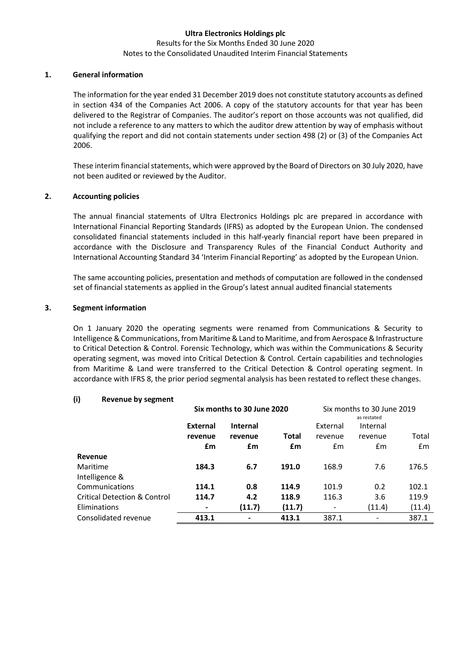#### Results for the Six Months Ended 30 June 2020 Notes to the Consolidated Unaudited Interim Financial Statements

### **1. General information**

The information for the year ended 31 December 2019 does not constitute statutory accounts as defined in section 434 of the Companies Act 2006. A copy of the statutory accounts for that year has been delivered to the Registrar of Companies. The auditor's report on those accounts was not qualified, did not include a reference to any matters to which the auditor drew attention by way of emphasis without qualifying the report and did not contain statements under section 498 (2) or (3) of the Companies Act 2006.

These interim financial statements, which were approved by the Board of Directors on 30 July 2020, have not been audited or reviewed by the Auditor.

### **2. Accounting policies**

The annual financial statements of Ultra Electronics Holdings plc are prepared in accordance with International Financial Reporting Standards (IFRS) as adopted by the European Union. The condensed consolidated financial statements included in this half-yearly financial report have been prepared in accordance with the Disclosure and Transparency Rules of the Financial Conduct Authority and International Accounting Standard 34 'Interim Financial Reporting' as adopted by the European Union.

The same accounting policies, presentation and methods of computation are followed in the condensed set of financial statements as applied in the Group's latest annual audited financial statements

### **3. Segment information**

On 1 January 2020 the operating segments were renamed from Communications & Security to Intelligence & Communications, from Maritime & Land to Maritime, and from Aerospace & Infrastructure to Critical Detection & Control. Forensic Technology, which was within the Communications & Security operating segment, was moved into Critical Detection & Control. Certain capabilities and technologies from Maritime & Land were transferred to the Critical Detection & Control operating segment. In accordance with IFRS 8, the prior period segmental analysis has been restated to reflect these changes.

### **(i) Revenue by segment**

|                                         |                                    | Six months to 30 June 2020 |        | Six months to 30 June 2019 |             |        |
|-----------------------------------------|------------------------------------|----------------------------|--------|----------------------------|-------------|--------|
|                                         |                                    |                            |        |                            | as restated |        |
|                                         | <b>Internal</b><br><b>External</b> |                            |        | External                   | Internal    |        |
|                                         | revenue                            | revenue                    | Total  | revenue                    | revenue     | Total  |
|                                         | £m                                 | £m                         | £m     | £m                         | £m          | £m     |
| Revenue                                 |                                    |                            |        |                            |             |        |
| Maritime                                | 184.3                              | 6.7                        | 191.0  | 168.9                      | 7.6         | 176.5  |
| Intelligence &                          |                                    |                            |        |                            |             |        |
| Communications                          | 114.1                              | 0.8                        | 114.9  | 101.9                      | 0.2         | 102.1  |
| <b>Critical Detection &amp; Control</b> | 114.7                              | 4.2                        | 118.9  | 116.3                      | 3.6         | 119.9  |
| Eliminations                            | ٠                                  | (11.7)                     | (11.7) |                            | (11.4)      | (11.4) |
| Consolidated revenue                    | 413.1                              | -                          | 413.1  | 387.1                      |             | 387.1  |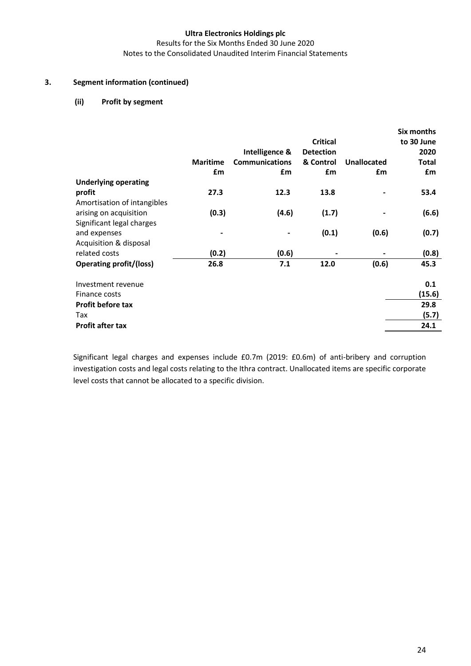Results for the Six Months Ended 30 June 2020 Notes to the Consolidated Unaudited Interim Financial Statements

### **3. Segment information (continued)**

### **(ii) Profit by segment**

|                                |                 |                       |                  |                    | Six months   |
|--------------------------------|-----------------|-----------------------|------------------|--------------------|--------------|
|                                |                 |                       | <b>Critical</b>  |                    | to 30 June   |
|                                |                 | Intelligence &        | <b>Detection</b> |                    | 2020         |
|                                | <b>Maritime</b> | <b>Communications</b> | & Control        | <b>Unallocated</b> | <b>Total</b> |
|                                | £m              | £m                    | £m               | £m                 | £m           |
| <b>Underlying operating</b>    |                 |                       |                  |                    |              |
| profit                         | 27.3            | 12.3                  | 13.8             |                    | 53.4         |
| Amortisation of intangibles    |                 |                       |                  |                    |              |
| arising on acquisition         | (0.3)           | (4.6)                 | (1.7)            |                    | (6.6)        |
| Significant legal charges      |                 |                       |                  |                    |              |
| and expenses                   |                 |                       | (0.1)            | (0.6)              | (0.7)        |
| Acquisition & disposal         |                 |                       |                  |                    |              |
| related costs                  | (0.2)           | (0.6)                 |                  |                    | (0.8)        |
| <b>Operating profit/(loss)</b> | 26.8            | 7.1                   | 12.0             | (0.6)              | 45.3         |
| Investment revenue             |                 |                       |                  |                    | 0.1          |
| Finance costs                  |                 |                       |                  |                    | (15.6)       |
| <b>Profit before tax</b>       |                 |                       |                  |                    | 29.8         |
| Tax                            |                 |                       |                  |                    | (5.7)        |
| <b>Profit after tax</b>        |                 |                       |                  |                    | 24.1         |
|                                |                 |                       |                  |                    |              |

Significant legal charges and expenses include £0.7m (2019: £0.6m) of anti-bribery and corruption investigation costs and legal costs relating to the Ithra contract. Unallocated items are specific corporate level costs that cannot be allocated to a specific division.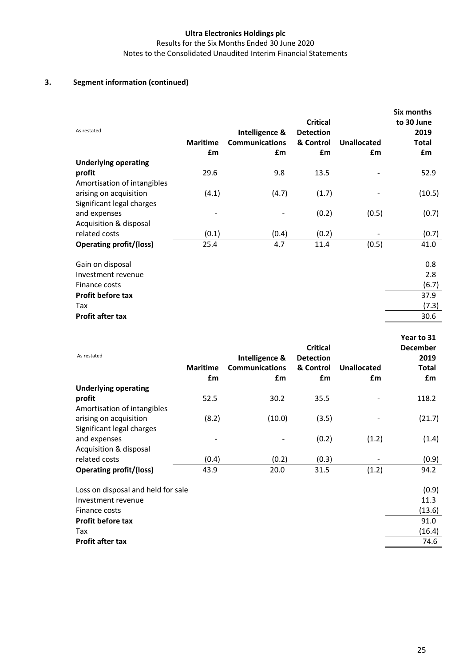Results for the Six Months Ended 30 June 2020 Notes to the Consolidated Unaudited Interim Financial Statements

### **3. Segment information (continued)**

| As restated                    | <b>Maritime</b><br>£m | Intelligence &<br><b>Communications</b><br>£m | <b>Critical</b><br><b>Detection</b><br>& Control<br>£m | <b>Unallocated</b><br>£m | Six months<br>to 30 June<br>2019<br><b>Total</b><br>£m |
|--------------------------------|-----------------------|-----------------------------------------------|--------------------------------------------------------|--------------------------|--------------------------------------------------------|
| <b>Underlying operating</b>    |                       |                                               |                                                        |                          |                                                        |
| profit                         | 29.6                  | 9.8                                           | 13.5                                                   |                          | 52.9                                                   |
| Amortisation of intangibles    |                       |                                               |                                                        |                          |                                                        |
| arising on acquisition         | (4.1)                 | (4.7)                                         | (1.7)                                                  |                          | (10.5)                                                 |
| Significant legal charges      |                       |                                               |                                                        |                          |                                                        |
| and expenses                   |                       |                                               | (0.2)                                                  | (0.5)                    | (0.7)                                                  |
| Acquisition & disposal         |                       |                                               |                                                        |                          |                                                        |
| related costs                  | (0.1)                 | (0.4)                                         | (0.2)                                                  |                          | (0.7)                                                  |
| <b>Operating profit/(loss)</b> | 25.4                  | 4.7                                           | 11.4                                                   | (0.5)                    | 41.0                                                   |
| Gain on disposal               |                       |                                               |                                                        |                          | 0.8                                                    |
| Investment revenue             |                       |                                               |                                                        |                          | 2.8                                                    |
| Finance costs                  |                       |                                               |                                                        |                          | (6.7)                                                  |
| <b>Profit before tax</b>       |                       |                                               |                                                        |                          | 37.9                                                   |
| Tax                            |                       |                                               |                                                        |                          | (7.3)                                                  |
| <b>Profit after tax</b>        |                       |                                               |                                                        |                          | 30.6                                                   |

| As restated                        | <b>Maritime</b><br>£m | Intelligence &<br><b>Communications</b><br>£m | <b>Critical</b><br><b>Detection</b><br>& Control<br>£m | <b>Unallocated</b><br>£m | Year to 31<br><b>December</b><br>2019<br>Total<br>£m |
|------------------------------------|-----------------------|-----------------------------------------------|--------------------------------------------------------|--------------------------|------------------------------------------------------|
| <b>Underlying operating</b>        |                       |                                               |                                                        |                          |                                                      |
| profit                             | 52.5                  | 30.2                                          | 35.5                                                   |                          | 118.2                                                |
| Amortisation of intangibles        |                       |                                               |                                                        |                          |                                                      |
| arising on acquisition             | (8.2)                 | (10.0)                                        | (3.5)                                                  |                          | (21.7)                                               |
| Significant legal charges          |                       |                                               |                                                        |                          |                                                      |
| and expenses                       |                       |                                               | (0.2)                                                  | (1.2)                    | (1.4)                                                |
| Acquisition & disposal             |                       |                                               |                                                        |                          |                                                      |
| related costs                      | (0.4)                 | (0.2)                                         | (0.3)                                                  |                          | (0.9)                                                |
| <b>Operating profit/(loss)</b>     | 43.9                  | 20.0                                          | 31.5                                                   | (1.2)                    | 94.2                                                 |
| Loss on disposal and held for sale |                       |                                               |                                                        |                          | (0.9)                                                |
| Investment revenue                 |                       |                                               |                                                        |                          | 11.3                                                 |
| Finance costs                      |                       |                                               |                                                        |                          | (13.6)                                               |
| <b>Profit before tax</b>           |                       |                                               |                                                        |                          | 91.0                                                 |
| Tax                                |                       |                                               |                                                        |                          | (16.4)                                               |
| Profit after tax                   |                       |                                               |                                                        |                          | 74.6                                                 |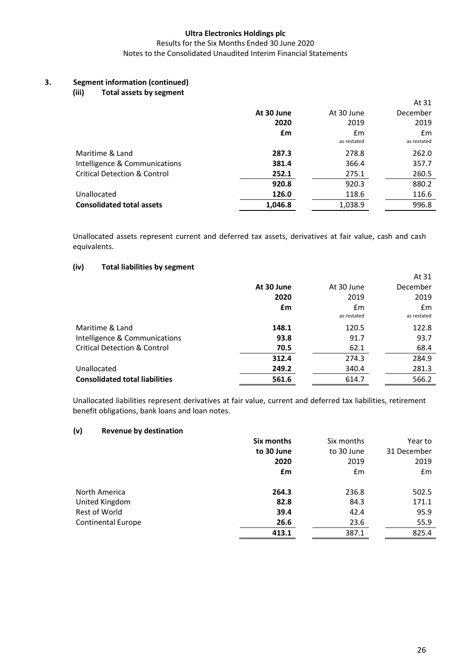### Results for the Six Months Ended 30 June 2020 Notes to the Consolidated Unaudited Interim Financial Statements

## **3. Segment information (continued)**

### **(iii) Total assets by segment**

|                                         |            |                   | At 31             |
|-----------------------------------------|------------|-------------------|-------------------|
|                                         | At 30 June | At 30 June        | December          |
|                                         | 2020       | 2019              | 2019              |
|                                         | £m         | Em<br>as restated | £m<br>as restated |
| Maritime & Land                         | 287.3      | 278.8             | 262.0             |
| Intelligence & Communications           | 381.4      | 366.4             | 357.7             |
| <b>Critical Detection &amp; Control</b> | 252.1      | 275.1             | 260.5             |
|                                         | 920.8      | 920.3             | 880.2             |
| Unallocated                             | 126.0      | 118.6             | 116.6             |
| <b>Consolidated total assets</b>        | 1,046.8    | 1,038.9           | 996.8             |

Unallocated assets represent current and deferred tax assets, derivatives at fair value, cash and cash equivalents.

### **(iv) Total liabilities by segment**

|                                         |            |                   | At 31             |
|-----------------------------------------|------------|-------------------|-------------------|
|                                         | At 30 June | At 30 June        | December          |
|                                         | 2020       | 2019              | 2019              |
|                                         | £m         | Em<br>as restated | £m<br>as restated |
| Maritime & Land                         | 148.1      | 120.5             | 122.8             |
| Intelligence & Communications           | 93.8       | 91.7              | 93.7              |
| <b>Critical Detection &amp; Control</b> | 70.5       | 62.1              | 68.4              |
|                                         | 312.4      | 274.3             | 284.9             |
| Unallocated                             | 249.2      | 340.4             | 281.3             |
| <b>Consolidated total liabilities</b>   | 561.6      | 614.7             | 566.2             |
|                                         |            |                   |                   |

Unallocated liabilities represent derivatives at fair value, current and deferred tax liabilities, retirement benefit obligations, bank loans and loan notes.

### **(v) Revenue by destination**

|                           | Six months | Six months | Year to     |
|---------------------------|------------|------------|-------------|
|                           | to 30 June | to 30 June | 31 December |
|                           | 2020       | 2019       | 2019        |
|                           | £m         | Em         | Em          |
| North America             | 264.3      | 236.8      | 502.5       |
| United Kingdom            | 82.8       | 84.3       | 171.1       |
| Rest of World             | 39.4       | 42.4       | 95.9        |
| <b>Continental Europe</b> | 26.6       | 23.6       | 55.9        |
|                           | 413.1      | 387.1      | 825.4       |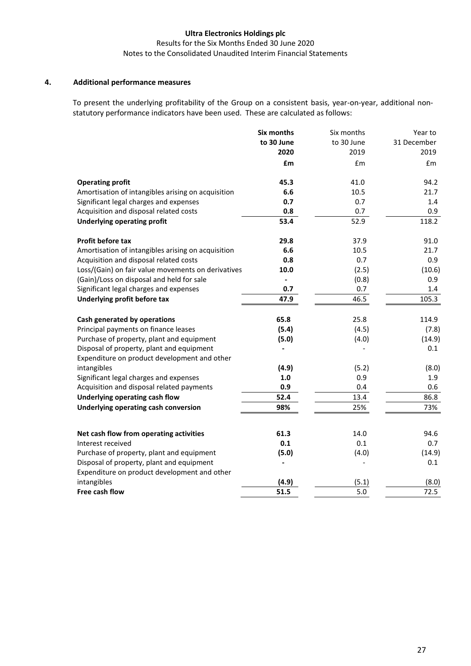### Results for the Six Months Ended 30 June 2020 Notes to the Consolidated Unaudited Interim Financial Statements

### **4. Additional performance measures**

To present the underlying profitability of the Group on a consistent basis, year-on-year, additional nonstatutory performance indicators have been used. These are calculated as follows:

|                                                    | Six months     | Six months | Year to     |
|----------------------------------------------------|----------------|------------|-------------|
|                                                    | to 30 June     | to 30 June | 31 December |
|                                                    | 2020           | 2019       | 2019        |
|                                                    | £m             | £m         | £m          |
| <b>Operating profit</b>                            | 45.3           | 41.0       | 94.2        |
| Amortisation of intangibles arising on acquisition | 6.6            | 10.5       | 21.7        |
| Significant legal charges and expenses             | 0.7            | 0.7        | 1.4         |
| Acquisition and disposal related costs             | 0.8            | 0.7        | 0.9         |
| <b>Underlying operating profit</b>                 | 53.4           | 52.9       | 118.2       |
| <b>Profit before tax</b>                           | 29.8           | 37.9       | 91.0        |
| Amortisation of intangibles arising on acquisition | 6.6            | 10.5       | 21.7        |
| Acquisition and disposal related costs             | 0.8            | 0.7        | 0.9         |
| Loss/(Gain) on fair value movements on derivatives | 10.0           | (2.5)      | (10.6)      |
| (Gain)/Loss on disposal and held for sale          | $\overline{a}$ | (0.8)      | 0.9         |
| Significant legal charges and expenses             | 0.7            | 0.7        | 1.4         |
| Underlying profit before tax                       | 47.9           | 46.5       | 105.3       |
| Cash generated by operations                       | 65.8           | 25.8       | 114.9       |
| Principal payments on finance leases               | (5.4)          | (4.5)      | (7.8)       |
| Purchase of property, plant and equipment          | (5.0)          | (4.0)      | (14.9)      |
| Disposal of property, plant and equipment          |                |            | 0.1         |
| Expenditure on product development and other       |                |            |             |
| intangibles                                        | (4.9)          | (5.2)      | (8.0)       |
| Significant legal charges and expenses             | 1.0            | 0.9        | 1.9         |
| Acquisition and disposal related payments          | 0.9            | 0.4        | 0.6         |
| Underlying operating cash flow                     | 52.4           | 13.4       | 86.8        |
| <b>Underlying operating cash conversion</b>        | 98%            | 25%        | 73%         |
| Net cash flow from operating activities            | 61.3           | 14.0       | 94.6        |
| Interest received                                  | 0.1            | 0.1        | 0.7         |
| Purchase of property, plant and equipment          | (5.0)          | (4.0)      | (14.9)      |
| Disposal of property, plant and equipment          |                |            | 0.1         |
| Expenditure on product development and other       |                |            |             |
| intangibles                                        | (4.9)          | (5.1)      | (8.0)       |
| Free cash flow                                     | 51.5           | 5.0        | 72.5        |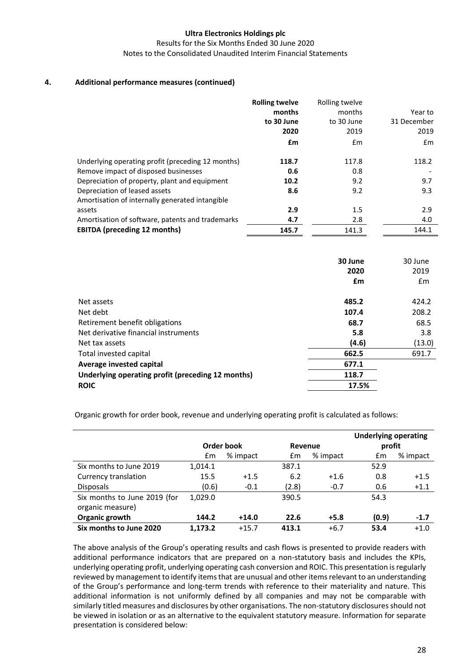Results for the Six Months Ended 30 June 2020 Notes to the Consolidated Unaudited Interim Financial Statements

### **4. Additional performance measures (continued)**

|                                                   | <b>Rolling twelve</b><br>months<br>to 30 June<br>2020<br>£m | Rolling twelve<br>months<br>to 30 June<br>2019<br>Em | Year to<br>31 December<br>2019<br>Em |
|---------------------------------------------------|-------------------------------------------------------------|------------------------------------------------------|--------------------------------------|
| Underlying operating profit (preceding 12 months) | 118.7                                                       | 117.8                                                | 118.2                                |
| Remove impact of disposed businesses              | 0.6                                                         | 0.8                                                  |                                      |
| Depreciation of property, plant and equipment     | 10.2                                                        | 9.2                                                  | 9.7                                  |
| Depreciation of leased assets                     | 8.6                                                         | 9.2                                                  | 9.3                                  |
| Amortisation of internally generated intangible   |                                                             |                                                      |                                      |
| assets                                            | 2.9                                                         | 1.5                                                  | 2.9                                  |
| Amortisation of software, patents and trademarks  | 4.7                                                         | 2.8                                                  | 4.0                                  |
| <b>EBITDA</b> (preceding 12 months)               | 145.7                                                       | 141.3                                                | 144.1                                |

|                                                   | 30 June<br>2020 | 30 June<br>2019 |
|---------------------------------------------------|-----------------|-----------------|
|                                                   | £m              | Em              |
| Net assets                                        | 485.2           | 424.2           |
| Net debt                                          | 107.4           | 208.2           |
| Retirement benefit obligations                    | 68.7            | 68.5            |
| Net derivative financial instruments              | 5.8             | 3.8             |
| Net tax assets                                    | (4.6)           | (13.0)          |
| Total invested capital                            | 662.5           | 691.7           |
| Average invested capital                          | 677.1           |                 |
| Underlying operating profit (preceding 12 months) | 118.7           |                 |
| <b>ROIC</b>                                       | 17.5%           |                 |

Organic growth for order book, revenue and underlying operating profit is calculated as follows:

|                              |         |            |       |          | <b>Underlying operating</b> |          |  |
|------------------------------|---------|------------|-------|----------|-----------------------------|----------|--|
|                              |         | Order book |       | Revenue  |                             | profit   |  |
|                              | £m      | % impact   | £m    | % impact | Em                          | % impact |  |
| Six months to June 2019      | 1,014.1 |            | 387.1 |          | 52.9                        |          |  |
| Currency translation         | 15.5    | $+1.5$     | 6.2   | $+1.6$   | 0.8                         | $+1.5$   |  |
| <b>Disposals</b>             | (0.6)   | $-0.1$     | (2.8) | $-0.7$   | 0.6                         | $+1.1$   |  |
| Six months to June 2019 (for | 1,029.0 |            | 390.5 |          | 54.3                        |          |  |
| organic measure)             |         |            |       |          |                             |          |  |
| Organic growth               | 144.2   | $+14.0$    | 22.6  | $+5.8$   | (0.9)                       | $-1.7$   |  |
| Six months to June 2020      | 1.173.2 | $+15.7$    | 413.1 | $+6.7$   | 53.4                        | $+1.0$   |  |

The above analysis of the Group's operating results and cash flows is presented to provide readers with additional performance indicators that are prepared on a non-statutory basis and includes the KPIs, underlying operating profit, underlying operating cash conversion and ROIC. This presentation is regularly reviewed by management to identify items that are unusual and other items relevant to an understanding of the Group's performance and long-term trends with reference to their materiality and nature. This additional information is not uniformly defined by all companies and may not be comparable with similarly titled measures and disclosures by other organisations. The non-statutory disclosures should not be viewed in isolation or as an alternative to the equivalent statutory measure. Information for separate presentation is considered below: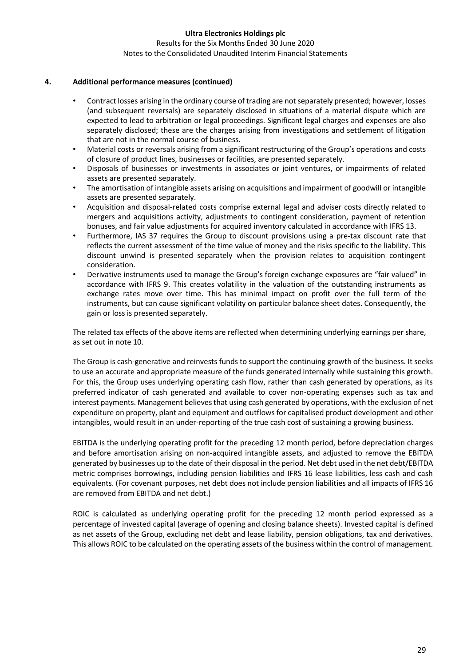#### Results for the Six Months Ended 30 June 2020 Notes to the Consolidated Unaudited Interim Financial Statements

### **4. Additional performance measures (continued)**

- Contract losses arising in the ordinary course of trading are not separately presented; however, losses (and subsequent reversals) are separately disclosed in situations of a material dispute which are expected to lead to arbitration or legal proceedings. Significant legal charges and expenses are also separately disclosed; these are the charges arising from investigations and settlement of litigation that are not in the normal course of business.
- Material costs or reversals arising from a significant restructuring of the Group's operations and costs of closure of product lines, businesses or facilities, are presented separately.
- Disposals of businesses or investments in associates or joint ventures, or impairments of related assets are presented separately.
- The amortisation of intangible assets arising on acquisitions and impairment of goodwill or intangible assets are presented separately.
- Acquisition and disposal-related costs comprise external legal and adviser costs directly related to mergers and acquisitions activity, adjustments to contingent consideration, payment of retention bonuses, and fair value adjustments for acquired inventory calculated in accordance with IFRS 13.
- Furthermore, IAS 37 requires the Group to discount provisions using a pre-tax discount rate that reflects the current assessment of the time value of money and the risks specific to the liability. This discount unwind is presented separately when the provision relates to acquisition contingent consideration.
- Derivative instruments used to manage the Group's foreign exchange exposures are "fair valued" in accordance with IFRS 9. This creates volatility in the valuation of the outstanding instruments as exchange rates move over time. This has minimal impact on profit over the full term of the instruments, but can cause significant volatility on particular balance sheet dates. Consequently, the gain or loss is presented separately.

The related tax effects of the above items are reflected when determining underlying earnings per share, as set out in note 10.

The Group is cash-generative and reinvests funds to support the continuing growth of the business. It seeks to use an accurate and appropriate measure of the funds generated internally while sustaining this growth. For this, the Group uses underlying operating cash flow, rather than cash generated by operations, as its preferred indicator of cash generated and available to cover non-operating expenses such as tax and interest payments. Management believes that using cash generated by operations, with the exclusion of net expenditure on property, plant and equipment and outflows for capitalised product development and other intangibles, would result in an under-reporting of the true cash cost of sustaining a growing business.

EBITDA is the underlying operating profit for the preceding 12 month period, before depreciation charges and before amortisation arising on non-acquired intangible assets, and adjusted to remove the EBITDA generated by businesses up to the date of their disposal in the period. Net debt used in the net debt/EBITDA metric comprises borrowings, including pension liabilities and IFRS 16 lease liabilities, less cash and cash equivalents. (For covenant purposes, net debt does not include pension liabilities and all impacts of IFRS 16 are removed from EBITDA and net debt.)

ROIC is calculated as underlying operating profit for the preceding 12 month period expressed as a percentage of invested capital (average of opening and closing balance sheets). Invested capital is defined as net assets of the Group, excluding net debt and lease liability, pension obligations, tax and derivatives. This allows ROIC to be calculated on the operating assets of the business within the control of management.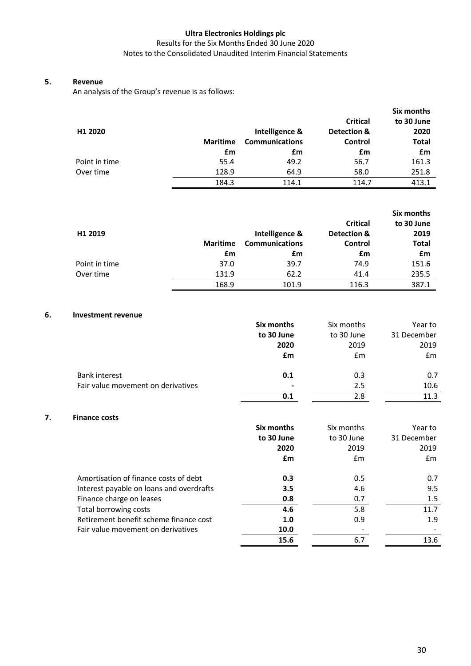### Results for the Six Months Ended 30 June 2020 Notes to the Consolidated Unaudited Interim Financial Statements

### **5. Revenue**

An analysis of the Group's revenue is as follows:

|                     |                 |                       | <b>Critical</b> | Six months<br>to 30 June |
|---------------------|-----------------|-----------------------|-----------------|--------------------------|
| H <sub>1</sub> 2020 |                 | Intelligence &        | Detection &     | 2020                     |
|                     | <b>Maritime</b> | <b>Communications</b> | Control         | <b>Total</b>             |
|                     | £m              | £m                    | £m              | £m                       |
| Point in time       | 55.4            | 49.2                  | 56.7            | 161.3                    |
| Over time           | 128.9           | 64.9                  | 58.0            | 251.8                    |
|                     | 184.3           | 114.1                 | 114.7           | 413.1                    |

|               |                 |                       |                 | Six months   |
|---------------|-----------------|-----------------------|-----------------|--------------|
|               |                 |                       | <b>Critical</b> | to 30 June   |
| H1 2019       |                 | Intelligence &        | Detection &     | 2019         |
|               | <b>Maritime</b> | <b>Communications</b> | Control         | <b>Total</b> |
|               | £m              | £m                    | £m              | £m           |
| Point in time | 37.0            | 39.7                  | 74.9            | 151.6        |
| Over time     | 131.9           | 62.2                  | 41.4            | 235.5        |
|               | 168.9           | 101.9                 | 116.3           | 387.1        |

### **6. Investment revenue**

|                                    | Six months     | Six months | Year to     |
|------------------------------------|----------------|------------|-------------|
|                                    | to 30 June     | to 30 June | 31 December |
|                                    | 2020           | 2019       | 2019        |
|                                    | £m             | £m         | Em          |
| <b>Bank interest</b>               | 0.1            | 0.3        | 0.7         |
| Fair value movement on derivatives | $\blacksquare$ | 2.5        | 10.6        |
|                                    | 0.1            | 2.8        | 11.3        |

### **7. Finance costs**

|                                          | Six months | Six months    | Year to     |
|------------------------------------------|------------|---------------|-------------|
|                                          | to 30 June | to 30 June    | 31 December |
|                                          | 2020       | 2019          | 2019        |
|                                          | £m         | $\mathsf{fm}$ | £m          |
| Amortisation of finance costs of debt    | 0.3        | 0.5           | 0.7         |
| Interest payable on loans and overdrafts | 3.5        | 4.6           | 9.5         |
| Finance charge on leases                 | 0.8        | 0.7           | 1.5         |
| Total borrowing costs                    | 4.6        | 5.8           | 11.7        |
| Retirement benefit scheme finance cost   | 1.0        | 0.9           | 1.9         |
| Fair value movement on derivatives       | 10.0       |               |             |
|                                          | 15.6       | 6.7           | 13.6        |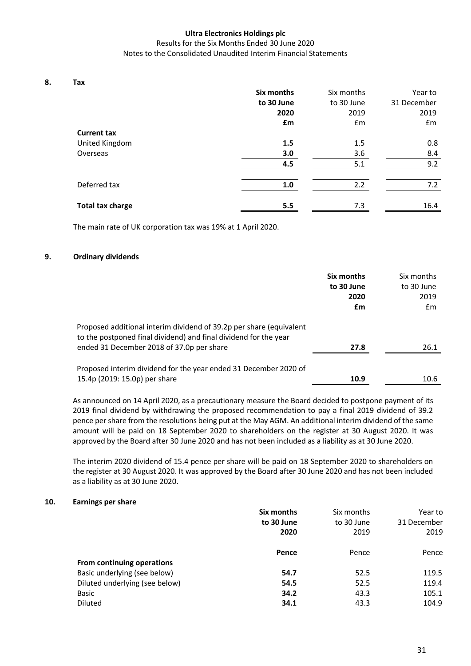#### Results for the Six Months Ended 30 June 2020 Notes to the Consolidated Unaudited Interim Financial Statements

**8. Tax** 

| - --- -                 | Six months<br>to 30 June<br>2020 | Six months<br>to 30 June<br>2019 | Year to<br>31 December<br>2019 |
|-------------------------|----------------------------------|----------------------------------|--------------------------------|
| <b>Current tax</b>      | £m                               | £m                               | £m                             |
| United Kingdom          | 1.5                              | 1.5                              | 0.8                            |
| Overseas                | 3.0                              | 3.6                              | 8.4                            |
|                         | 4.5                              | 5.1                              | 9.2                            |
| Deferred tax            | 1.0                              | 2.2                              | 7.2                            |
| <b>Total tax charge</b> | 5.5                              | 7.3                              | 16.4                           |

The main rate of UK corporation tax was 19% at 1 April 2020.

### **9. Ordinary dividends**

|                                                                                                                                                                                      | Six months<br>to 30 June<br>2020 | Six months<br>to 30 June<br>2019 |
|--------------------------------------------------------------------------------------------------------------------------------------------------------------------------------------|----------------------------------|----------------------------------|
|                                                                                                                                                                                      | £m                               | £m                               |
| Proposed additional interim dividend of 39.2p per share (equivalent<br>to the postponed final dividend) and final dividend for the year<br>ended 31 December 2018 of 37.0p per share | 27.8                             | 26.1                             |
|                                                                                                                                                                                      |                                  |                                  |
| Proposed interim dividend for the year ended 31 December 2020 of<br>15.4p (2019: 15.0p) per share                                                                                    | 10.9                             | 10.6                             |

As announced on 14 April 2020, as a precautionary measure the Board decided to postpone payment of its 2019 final dividend by withdrawing the proposed recommendation to pay a final 2019 dividend of 39.2 pence per share from the resolutions being put at the May AGM. An additional interim dividend of the same amount will be paid on 18 September 2020 to shareholders on the register at 30 August 2020. It was approved by the Board after 30 June 2020 and has not been included as a liability as at 30 June 2020.

The interim 2020 dividend of 15.4 pence per share will be paid on 18 September 2020 to shareholders on the register at 30 August 2020. It was approved by the Board after 30 June 2020 and has not been included as a liability as at 30 June 2020.

### **10. Earnings per share**

|                                | Six months | Six months | Year to     |
|--------------------------------|------------|------------|-------------|
|                                | to 30 June | to 30 June | 31 December |
|                                | 2020       | 2019       | 2019        |
|                                | Pence      | Pence      | Pence       |
| From continuing operations     |            |            |             |
| Basic underlying (see below)   | 54.7       | 52.5       | 119.5       |
| Diluted underlying (see below) | 54.5       | 52.5       | 119.4       |
| Basic                          | 34.2       | 43.3       | 105.1       |
| <b>Diluted</b>                 | 34.1       | 43.3       | 104.9       |
|                                |            |            |             |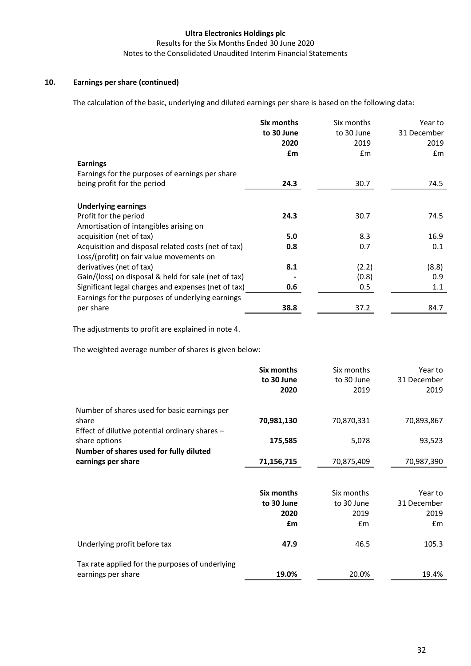Results for the Six Months Ended 30 June 2020 Notes to the Consolidated Unaudited Interim Financial Statements

### **10. Earnings per share (continued)**

The calculation of the basic, underlying and diluted earnings per share is based on the following data:

|                                                      | Six months | Six months | Year to       |
|------------------------------------------------------|------------|------------|---------------|
|                                                      | to 30 June | to 30 June | 31 December   |
|                                                      | 2020       | 2019       | 2019          |
|                                                      | £m         | £m         | $\mathsf{fm}$ |
| <b>Earnings</b>                                      |            |            |               |
| Earnings for the purposes of earnings per share      |            |            |               |
| being profit for the period                          | 24.3       | 30.7       | 74.5          |
|                                                      |            |            |               |
| <b>Underlying earnings</b>                           |            |            |               |
| Profit for the period                                | 24.3       | 30.7       | 74.5          |
| Amortisation of intangibles arising on               |            |            |               |
| acquisition (net of tax)                             | 5.0        | 8.3        | 16.9          |
| Acquisition and disposal related costs (net of tax)  | 0.8        | 0.7        | 0.1           |
| Loss/(profit) on fair value movements on             |            |            |               |
| derivatives (net of tax)                             | 8.1        | (2.2)      | (8.8)         |
| Gain/(loss) on disposal & held for sale (net of tax) |            | (0.8)      | 0.9           |
| Significant legal charges and expenses (net of tax)  | 0.6        | 0.5        | 1.1           |
| Earnings for the purposes of underlying earnings     |            |            |               |
| per share                                            | 38.8       | 37.2       | 84.7          |

The adjustments to profit are explained in note 4.

The weighted average number of shares is given below:

|                                                 | Six months        | Six months    | Year to     |
|-------------------------------------------------|-------------------|---------------|-------------|
|                                                 | to 30 June        | to 30 June    | 31 December |
|                                                 | 2020              | 2019          | 2019        |
| Number of shares used for basic earnings per    |                   |               |             |
| share                                           | 70,981,130        | 70,870,331    | 70,893,867  |
| Effect of dilutive potential ordinary shares -  |                   |               |             |
| share options                                   | 175,585           | 5,078         | 93,523      |
| Number of shares used for fully diluted         |                   |               |             |
| earnings per share                              | 71,156,715        | 70,875,409    | 70,987,390  |
|                                                 |                   |               |             |
|                                                 | <b>Six months</b> | Six months    | Year to     |
|                                                 | to 30 June        | to 30 June    | 31 December |
|                                                 | 2020              | 2019          | 2019        |
|                                                 | £m                | $\mathsf{fm}$ | Em          |
| Underlying profit before tax                    | 47.9              | 46.5          | 105.3       |
| Tax rate applied for the purposes of underlying |                   |               |             |
| earnings per share                              | 19.0%             | 20.0%         | 19.4%       |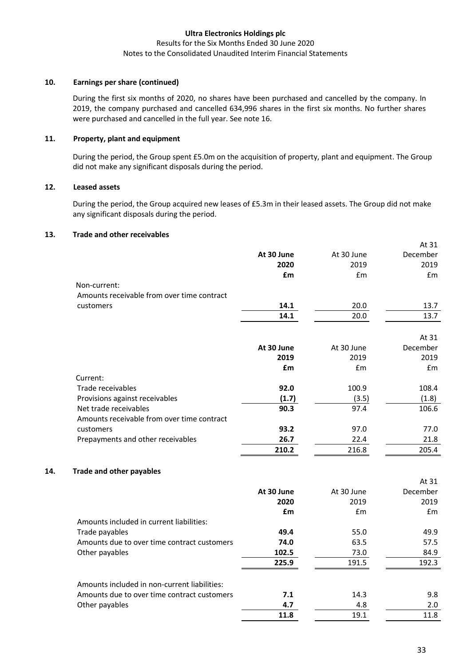### Results for the Six Months Ended 30 June 2020 Notes to the Consolidated Unaudited Interim Financial Statements

### **10. Earnings per share (continued)**

During the first six months of 2020, no shares have been purchased and cancelled by the company. In 2019, the company purchased and cancelled 634,996 shares in the first six months. No further shares were purchased and cancelled in the full year. See note 16.

### **11. Property, plant and equipment**

During the period, the Group spent £5.0m on the acquisition of property, plant and equipment. The Group did not make any significant disposals during the period.

### **12. Leased assets**

During the period, the Group acquired new leases of £5.3m in their leased assets. The Group did not make any significant disposals during the period.

### **13. Trade and other receivables**

|     |                                              | At 30 June<br>2020 | At 30 June<br>2019 | December<br>2019 |
|-----|----------------------------------------------|--------------------|--------------------|------------------|
|     |                                              | £m                 | £m                 | £m               |
|     | Non-current:                                 |                    |                    |                  |
|     | Amounts receivable from over time contract   |                    |                    |                  |
|     | customers                                    | 14.1               | 20.0               | 13.7             |
|     |                                              | 14.1               | 20.0               | 13.7             |
|     |                                              |                    |                    |                  |
|     |                                              |                    |                    | At 31            |
|     |                                              | At 30 June         | At 30 June         | December         |
|     |                                              | 2019               | 2019               | 2019             |
|     |                                              | £m                 | £m                 | £m               |
|     | Current:<br>Trade receivables                | 92.0               |                    | 108.4            |
|     | Provisions against receivables               | (1.7)              | 100.9              | (1.8)            |
|     | Net trade receivables                        |                    | (3.5)              |                  |
|     | Amounts receivable from over time contract   | 90.3               | 97.4               | 106.6            |
|     | customers                                    | 93.2               | 97.0               | 77.0             |
|     | Prepayments and other receivables            | 26.7               | 22.4               | 21.8             |
|     |                                              | 210.2              | 216.8              | 205.4            |
|     |                                              |                    |                    |                  |
| 14. | <b>Trade and other payables</b>              |                    |                    |                  |
|     |                                              |                    |                    | At 31            |
|     |                                              | At 30 June         | At 30 June         | December         |
|     |                                              | 2020               | 2019               | 2019             |
|     |                                              | £m                 | £m                 | £m               |
|     | Amounts included in current liabilities:     |                    |                    |                  |
|     | Trade payables                               | 49.4               | 55.0               | 49.9             |
|     | Amounts due to over time contract customers  | 74.0               | 63.5               | 57.5             |
|     | Other payables                               | 102.5              | 73.0               | 84.9             |
|     |                                              | 225.9              | 191.5              | 192.3            |
|     | Amounts included in non-current liabilities: |                    |                    |                  |
|     | Amounts due to over time contract customers  | 7.1                | 14.3               | 9.8              |
|     | Other payables                               | 4.7                | 4.8                | 2.0              |

**11.8** 19.1 11.8

At 31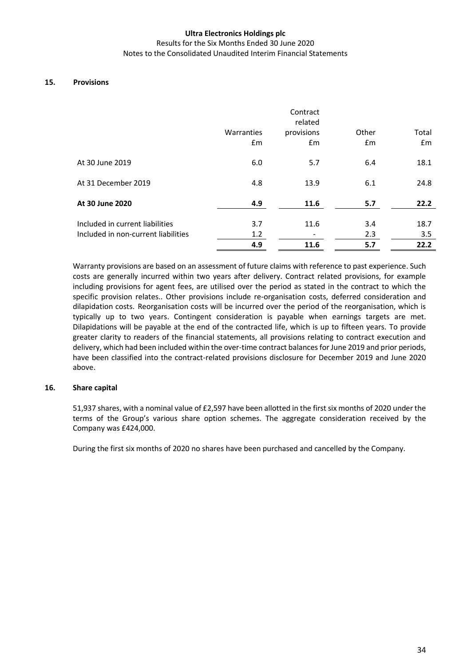#### Results for the Six Months Ended 30 June 2020 Notes to the Consolidated Unaudited Interim Financial Statements

### **15. Provisions**

|                                     | Warranties<br>£m | Contract<br>related<br>provisions<br>£m | Other<br>Em | Total<br>Em |
|-------------------------------------|------------------|-----------------------------------------|-------------|-------------|
| At 30 June 2019                     | 6.0              | 5.7                                     | 6.4         | 18.1        |
| At 31 December 2019                 | 4.8              | 13.9                                    | 6.1         | 24.8        |
| At 30 June 2020                     | 4.9              | 11.6                                    | 5.7         | 22.2        |
| Included in current liabilities     | 3.7              | 11.6                                    | 3.4         | 18.7        |
| Included in non-current liabilities | 1.2              |                                         | 2.3         | 3.5         |
|                                     | 4.9              | 11.6                                    | 5.7         | 22.2        |

Warranty provisions are based on an assessment of future claims with reference to past experience. Such costs are generally incurred within two years after delivery. Contract related provisions, for example including provisions for agent fees, are utilised over the period as stated in the contract to which the specific provision relates.. Other provisions include re-organisation costs, deferred consideration and dilapidation costs. Reorganisation costs will be incurred over the period of the reorganisation, which is typically up to two years. Contingent consideration is payable when earnings targets are met. Dilapidations will be payable at the end of the contracted life, which is up to fifteen years. To provide greater clarity to readers of the financial statements, all provisions relating to contract execution and delivery, which had been included within the over-time contract balances for June 2019 and prior periods, have been classified into the contract-related provisions disclosure for December 2019 and June 2020 above.

### **16. Share capital**

51,937 shares, with a nominal value of £2,597 have been allotted in the first six months of 2020 under the terms of the Group's various share option schemes. The aggregate consideration received by the Company was £424,000.

During the first six months of 2020 no shares have been purchased and cancelled by the Company.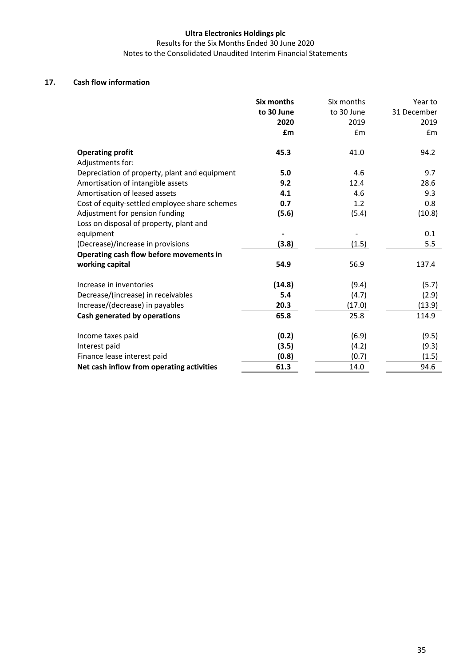Results for the Six Months Ended 30 June 2020 Notes to the Consolidated Unaudited Interim Financial Statements

### **17. Cash flow information**

|                                               | Six months<br>to 30 June | Six months<br>to 30 June | Year to<br>31 December |
|-----------------------------------------------|--------------------------|--------------------------|------------------------|
|                                               | 2020                     | 2019                     | 2019                   |
|                                               | £m                       | $\mathsf{fm}$            | £m                     |
| <b>Operating profit</b><br>Adjustments for:   | 45.3                     | 41.0                     | 94.2                   |
| Depreciation of property, plant and equipment | 5.0                      | 4.6                      | 9.7                    |
| Amortisation of intangible assets             | 9.2                      | 12.4                     | 28.6                   |
| Amortisation of leased assets                 | 4.1                      | 4.6                      | 9.3                    |
| Cost of equity-settled employee share schemes | 0.7                      | 1.2                      | 0.8                    |
| Adjustment for pension funding                | (5.6)                    | (5.4)                    | (10.8)                 |
| Loss on disposal of property, plant and       |                          |                          |                        |
| equipment                                     |                          |                          | 0.1                    |
| (Decrease)/increase in provisions             | (3.8)                    | (1.5)                    | 5.5                    |
| Operating cash flow before movements in       |                          |                          |                        |
| working capital                               | 54.9                     | 56.9                     | 137.4                  |
| Increase in inventories                       | (14.8)                   | (9.4)                    | (5.7)                  |
| Decrease/(increase) in receivables            | 5.4                      | (4.7)                    | (2.9)                  |
| Increase/(decrease) in payables               | 20.3                     | (17.0)                   | (13.9)                 |
| Cash generated by operations                  | 65.8                     | 25.8                     | 114.9                  |
| Income taxes paid                             | (0.2)                    | (6.9)                    | (9.5)                  |
| Interest paid                                 | (3.5)                    | (4.2)                    | (9.3)                  |
| Finance lease interest paid                   | (0.8)                    | (0.7)                    | (1.5)                  |
| Net cash inflow from operating activities     | 61.3                     | 14.0                     | 94.6                   |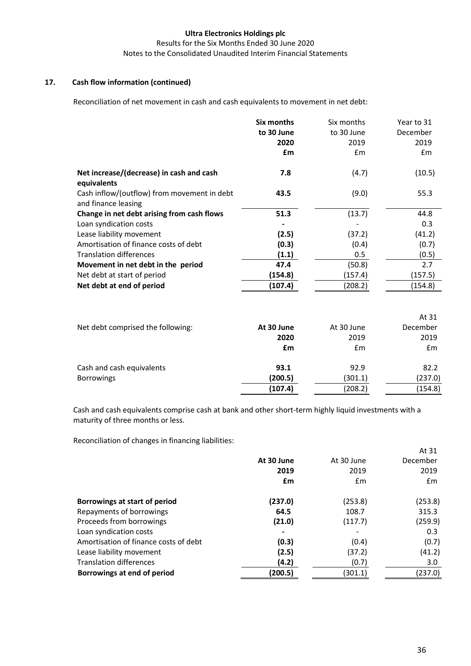Results for the Six Months Ended 30 June 2020 Notes to the Consolidated Unaudited Interim Financial Statements

### **17. Cash flow information (continued)**

Reconciliation of net movement in cash and cash equivalents to movement in net debt:

|                                                                    | Six months | Six months | Year to 31 |
|--------------------------------------------------------------------|------------|------------|------------|
|                                                                    | to 30 June | to 30 June | December   |
|                                                                    | 2020       | 2019       | 2019       |
|                                                                    | £m         | Em         | Em         |
| Net increase/(decrease) in cash and cash<br>equivalents            | 7.8        | (4.7)      | (10.5)     |
| Cash inflow/(outflow) from movement in debt<br>and finance leasing | 43.5       | (9.0)      | 55.3       |
| Change in net debt arising from cash flows                         | 51.3       | (13.7)     | 44.8       |
| Loan syndication costs                                             |            |            | 0.3        |
| Lease liability movement                                           | (2.5)      | (37.2)     | (41.2)     |
| Amortisation of finance costs of debt                              | (0.3)      | (0.4)      | (0.7)      |
| <b>Translation differences</b>                                     | (1.1)      | 0.5        | (0.5)      |
| Movement in net debt in the period                                 | 47.4       | (50.8)     | 2.7        |
| Net debt at start of period                                        | (154.8)    | (157.4)    | (157.5)    |
| Net debt at end of period                                          | (107.4)    | (208.2)    | (154.8)    |
|                                                                    |            |            |            |
|                                                                    |            |            | $\cdots$   |

|                                   |            |                | At 31    |
|-----------------------------------|------------|----------------|----------|
| Net debt comprised the following: | At 30 June | At 30 June     | December |
|                                   | 2020       | 2019           | 2019     |
|                                   | £m         | $\mathbf{f}$ m | Em       |
| Cash and cash equivalents         | 93.1       | 92.9           | 82.2     |
| <b>Borrowings</b>                 | (200.5)    | (301.1)        | (237.0)  |
|                                   | (107.4)    | (208.2)        | (154.8)  |
|                                   |            |                |          |

Cash and cash equivalents comprise cash at bank and other short-term highly liquid investments with a maturity of three months or less.

Reconciliation of changes in financing liabilities:

|                                       | At 30 June<br>2019<br>£m | At 30 June<br>2019<br>$\mathsf{fm}$ | At 31<br>December<br>2019<br>Em |
|---------------------------------------|--------------------------|-------------------------------------|---------------------------------|
| Borrowings at start of period         | (237.0)                  | (253.8)                             | (253.8)                         |
| Repayments of borrowings              | 64.5                     | 108.7                               | 315.3                           |
| Proceeds from borrowings              | (21.0)                   | (117.7)                             | (259.9)                         |
| Loan syndication costs                | $\blacksquare$           |                                     | 0.3                             |
| Amortisation of finance costs of debt | (0.3)                    | (0.4)                               | (0.7)                           |
| Lease liability movement              | (2.5)                    | (37.2)                              | (41.2)                          |
| <b>Translation differences</b>        | (4.2)                    | (0.7)                               | 3.0                             |
| Borrowings at end of period           | (200.5)                  | (301.1)                             | (237.0)                         |
|                                       |                          |                                     |                                 |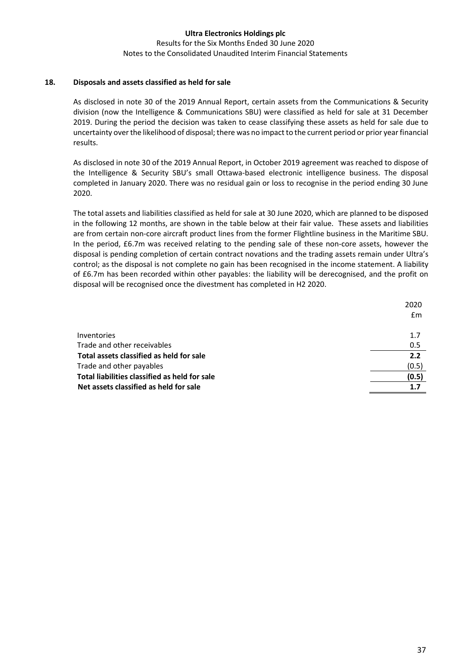Results for the Six Months Ended 30 June 2020 Notes to the Consolidated Unaudited Interim Financial Statements

### **18. Disposals and assets classified as held for sale**

As disclosed in note 30 of the 2019 Annual Report, certain assets from the Communications & Security division (now the Intelligence & Communications SBU) were classified as held for sale at 31 December 2019. During the period the decision was taken to cease classifying these assets as held for sale due to uncertainty over the likelihood of disposal; there was no impact to the current period or prior year financial results.

As disclosed in note 30 of the 2019 Annual Report, in October 2019 agreement was reached to dispose of the Intelligence & Security SBU's small Ottawa-based electronic intelligence business. The disposal completed in January 2020. There was no residual gain or loss to recognise in the period ending 30 June 2020.

The total assets and liabilities classified as held for sale at 30 June 2020, which are planned to be disposed in the following 12 months, are shown in the table below at their fair value. These assets and liabilities are from certain non-core aircraft product lines from the former Flightline business in the Maritime SBU. In the period, £6.7m was received relating to the pending sale of these non-core assets, however the disposal is pending completion of certain contract novations and the trading assets remain under Ultra's control; as the disposal is not complete no gain has been recognised in the income statement. A liability of £6.7m has been recorded within other payables: the liability will be derecognised, and the profit on disposal will be recognised once the divestment has completed in H2 2020.

| 2020  |
|-------|
| Em    |
|       |
| 1.7   |
| 0.5   |
| 2.2   |
| (0.5) |
| (0.5) |
| 1.7   |
|       |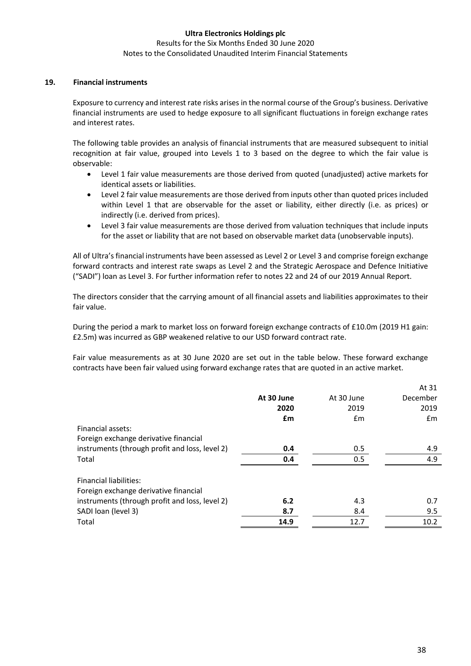#### Results for the Six Months Ended 30 June 2020 Notes to the Consolidated Unaudited Interim Financial Statements

### **19. Financial instruments**

Exposure to currency and interest rate risks arises in the normal course of the Group's business. Derivative financial instruments are used to hedge exposure to all significant fluctuations in foreign exchange rates and interest rates.

The following table provides an analysis of financial instruments that are measured subsequent to initial recognition at fair value, grouped into Levels 1 to 3 based on the degree to which the fair value is observable:

- Level 1 fair value measurements are those derived from quoted (unadjusted) active markets for identical assets or liabilities.
- Level 2 fair value measurements are those derived from inputs other than quoted prices included within Level 1 that are observable for the asset or liability, either directly (i.e. as prices) or indirectly (i.e. derived from prices).
- Level 3 fair value measurements are those derived from valuation techniques that include inputs for the asset or liability that are not based on observable market data (unobservable inputs).

All of Ultra's financial instruments have been assessed as Level 2 or Level 3 and comprise foreign exchange forward contracts and interest rate swaps as Level 2 and the Strategic Aerospace and Defence Initiative ("SADI") loan as Level 3. For further information refer to notes 22 and 24 of our 2019 Annual Report.

The directors consider that the carrying amount of all financial assets and liabilities approximates to their fair value.

During the period a mark to market loss on forward foreign exchange contracts of £10.0m (2019 H1 gain: £2.5m) was incurred as GBP weakened relative to our USD forward contract rate.

Fair value measurements as at 30 June 2020 are set out in the table below. These forward exchange contracts have been fair valued using forward exchange rates that are quoted in an active market.

|            |            | At 31    |
|------------|------------|----------|
| At 30 June | At 30 June | December |
| 2020       | 2019       | 2019     |
| £m         | Em         | £m       |
|            |            |          |
|            |            |          |
| 0.4        | 0.5        | 4.9      |
| 0.4        | 0.5        | 4.9      |
|            |            |          |
|            |            |          |
|            |            |          |
|            |            | 0.7      |
| 8.7        | 8.4        | 9.5      |
| 14.9       | 12.7       | 10.2     |
|            | 6.2        | 4.3      |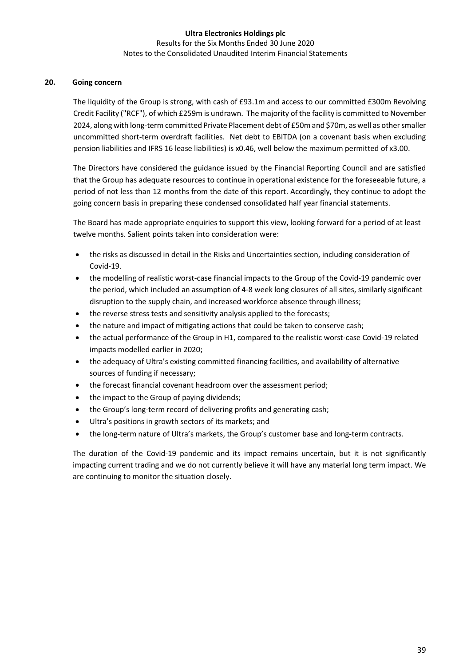### **Ultra Electronics Holdings plc** Results for the Six Months Ended 30 June 2020 Notes to the Consolidated Unaudited Interim Financial Statements

### **20. Going concern**

The liquidity of the Group is strong, with cash of £93.1m and access to our committed £300m Revolving Credit Facility ("RCF"), of which £259m is undrawn. The majority of the facility is committed to November 2024, along with long-term committed Private Placement debt of £50m and \$70m, as well as other smaller uncommitted short-term overdraft facilities. Net debt to EBITDA (on a covenant basis when excluding pension liabilities and IFRS 16 lease liabilities) is x0.46, well below the maximum permitted of x3.00.

The Directors have considered the guidance issued by the Financial Reporting Council and are satisfied that the Group has adequate resources to continue in operational existence for the foreseeable future, a period of not less than 12 months from the date of this report. Accordingly, they continue to adopt the going concern basis in preparing these condensed consolidated half year financial statements.

The Board has made appropriate enquiries to support this view, looking forward for a period of at least twelve months. Salient points taken into consideration were:

- the risks as discussed in detail in the Risks and Uncertainties section, including consideration of Covid-19.
- the modelling of realistic worst-case financial impacts to the Group of the Covid-19 pandemic over the period, which included an assumption of 4-8 week long closures of all sites, similarly significant disruption to the supply chain, and increased workforce absence through illness;
- the reverse stress tests and sensitivity analysis applied to the forecasts;
- the nature and impact of mitigating actions that could be taken to conserve cash;
- the actual performance of the Group in H1, compared to the realistic worst-case Covid-19 related impacts modelled earlier in 2020;
- the adequacy of Ultra's existing committed financing facilities, and availability of alternative sources of funding if necessary;
- the forecast financial covenant headroom over the assessment period;
- the impact to the Group of paying dividends;
- the Group's long-term record of delivering profits and generating cash;
- Ultra's positions in growth sectors of its markets: and
- the long-term nature of Ultra's markets, the Group's customer base and long-term contracts.

The duration of the Covid-19 pandemic and its impact remains uncertain, but it is not significantly impacting current trading and we do not currently believe it will have any material long term impact. We are continuing to monitor the situation closely.